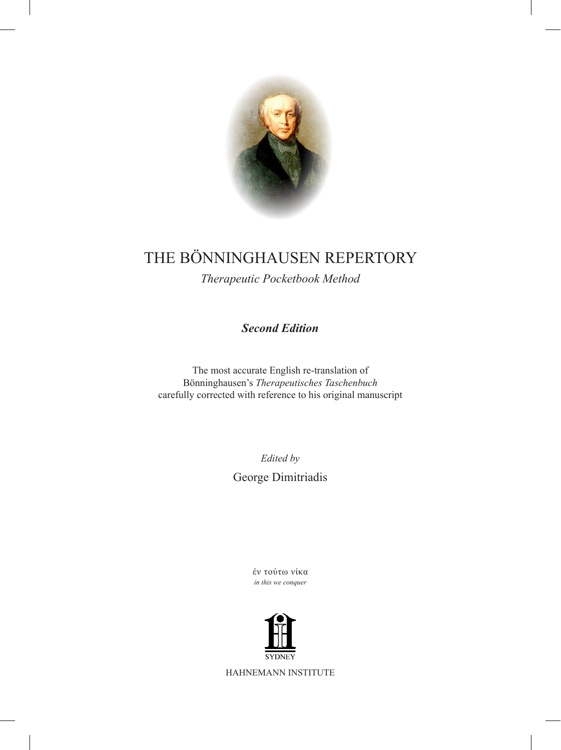

# THE Bönninghausen REPERTORY

*Therapeutic Pocketbook Method*

*Second Edition*

The most accurate English re-translation of Bönninghausen's *Therapeutisches Taschenbuch* carefully corrected with reference to his original manuscript

*Edited by*

George Dimitriadis

έν τούτω νίκα *in this we conquer*



HAHNEMANN INSTITUTE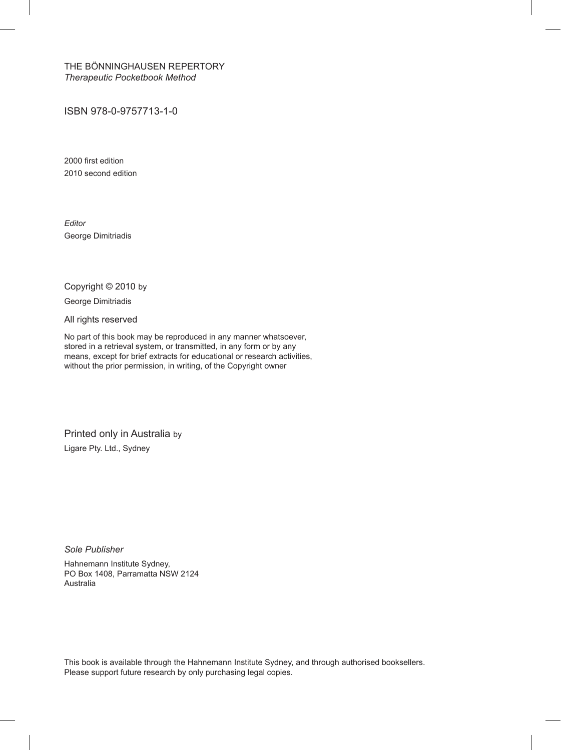The Bönninghausen Repertory *Therapeutic Pocketbook Method*

ISBN 978-0-9757713-1-0

2000 first edition 2010 second edition

*Editor* George Dimitriadis

Copyright © 2010 by

George Dimitriadis

All rights reserved

No part of this book may be reproduced in any manner whatsoever, stored in a retrieval system, or transmitted, in any form or by any means, except for brief extracts for educational or research activities, without the prior permission, in writing, of the Copyright owner

Printed only in Australia by Ligare Pty. Ltd., Sydney

*Sole Publisher*

Hahnemann Institute Sydney, PO Box 1408, Parramatta NSW 2124 Australia

This book is available through the Hahnemann Institute Sydney, and through authorised booksellers. Please support future research by only purchasing legal copies.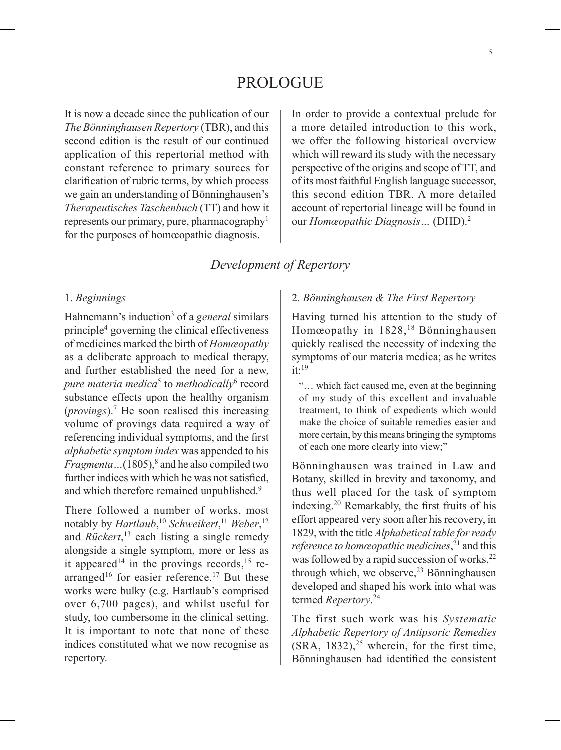# **PROLOGUE**

It is now a decade since the publication of our *The Bönninghausen Repertory* (TBR), and this second edition is the result of our continued application of this repertorial method with constant reference to primary sources for clarification of rubric terms, by which process we gain an understanding of Bönninghausen's *Therapeutisches Taschenbuch* (TT) and how it represents our primary, pure, pharmacography1 for the purposes of homœopathic diagnosis.

In order to provide a contextual prelude for a more detailed introduction to this work, we offer the following historical overview which will reward its study with the necessary perspective of the origins and scope of TT, and of its most faithful English language successor, this second edition TBR. A more detailed account of repertorial lineage will be found in our *Homœopathic Diagnosis…* (DHD).2

## *Development of Repertory*

### 1. *Beginnings*

Hahnemann's induction<sup>3</sup> of a *general* similars principle4 governing the clinical effectiveness of medicines marked the birth of *Homœopathy* as a deliberate approach to medical therapy, and further established the need for a new, *pure materia medica*<sup>5</sup> to *methodically*<sup>6</sup> record substance effects upon the healthy organism (*provings*).7 He soon realised this increasing volume of provings data required a way of referencing individual symptoms, and the first *alphabetic symptom index* was appended to his *Fragmenta* ... (1805),<sup>8</sup> and he also compiled two further indices with which he was not satisfied, and which therefore remained unpublished.<sup>9</sup>

There followed a number of works, most notably by *Hartlaub*, <sup>10</sup> *Schweikert*, <sup>11</sup> *Weber*, 12 and *Rückert*, 13 each listing a single remedy alongside a single symptom, more or less as it appeared<sup>14</sup> in the provings records,<sup>15</sup> rearranged<sup>16</sup> for easier reference.<sup>17</sup> But these works were bulky (e.g. Hartlaub's comprised over 6,700 pages), and whilst useful for study, too cumbersome in the clinical setting. It is important to note that none of these indices constituted what we now recognise as repertory.

## 2. *Bönninghausen & The First Repertory*

Having turned his attention to the study of Homœopathy in 1828,<sup>18</sup> Bönninghausen quickly realised the necessity of indexing the symptoms of our materia medica; as he writes  $it:19$ 

"… which fact caused me, even at the beginning of my study of this excellent and invaluable treatment, to think of expedients which would make the choice of suitable remedies easier and more certain, by this means bringing the symptoms of each one more clearly into view;"

Bönninghausen was trained in Law and Botany, skilled in brevity and taxonomy, and thus well placed for the task of symptom indexing.20 Remarkably, the first fruits of his effort appeared very soon after his recovery, in 1829, with the title *Alphabetical table for ready reference to homœopathic medicines*, 21 and this was followed by a rapid succession of works, $^{22}$ through which, we observe,  $2<sup>3</sup>$  Bönninghausen developed and shaped his work into what was termed *Repertory*. 24

The first such work was his *Systematic Alphabetic Repertory of Antipsoric Remedies*  $(SRA, 1832)$ ,<sup>25</sup> wherein, for the first time, Bönninghausen had identified the consistent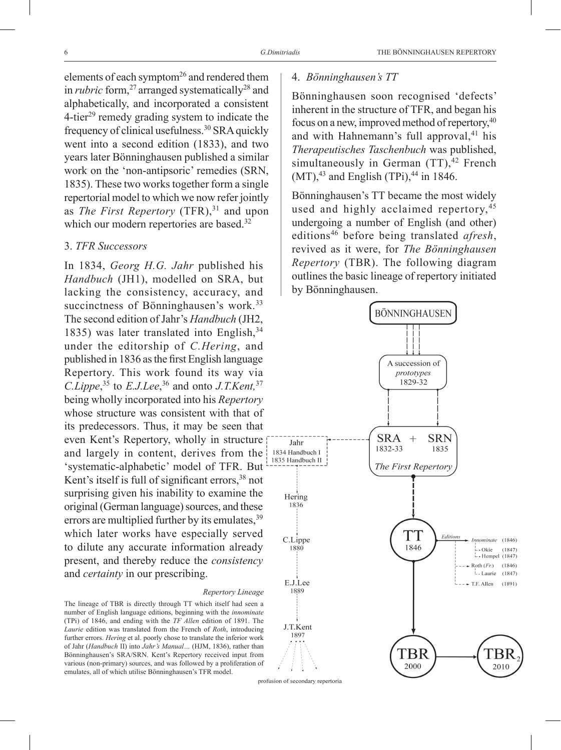elements of each symptom<sup>26</sup> and rendered them in *rubric* form,<sup>27</sup> arranged systematically<sup>28</sup> and alphabetically, and incorporated a consistent  $4$ -tier<sup>29</sup> remedy grading system to indicate the frequency of clinical usefulness.30 SRA quickly went into a second edition (1833), and two years later Bönninghausen published a similar work on the 'non-antipsoric' remedies (SRN, 1835). These two works together form a single repertorial model to which we now refer jointly as *The First Repertory* (TFR),<sup>31</sup> and upon which our modern repertories are based.<sup>32</sup>

## 3. *TFR Successors*

In 1834, *Georg H.G. Jahr* published his *Handbuch* (JH1), modelled on SRA, but lacking the consistency, accuracy, and succinctness of Bönninghausen's work.<sup>33</sup> The second edition of Jahr's *Handbuch* (JH2, 1835) was later translated into English, 34 under the editorship of *C.Hering*, and published in 1836 as the first English language Repertory. This work found its way via *C.Lippe*, 35 to *E.J.Lee*, 36 and onto *J.T.Kent,*<sup>37</sup> being wholly incorporated into his *Repertory* whose structure was consistent with that of its predecessors. Thus, it may be seen that even Kent's Repertory, wholly in structure and largely in content, derives from the 'systematic-alphabetic' model of TFR. But Kent's itself is full of significant errors,<sup>38</sup> not surprising given his inability to examine the original (German language) sources, and these errors are multiplied further by its emulates, <sup>39</sup> which later works have especially served to dilute any accurate information already present, and thereby reduce the *consistency* and *certainty* in our prescribing.

#### *Repertory Lineage*

The lineage of TBR is directly through TT which itself had seen a number of English language editions, beginning with the *innominate* (TPi) of 1846, and ending with the *TF Allen* edition of 1891. The *Laurie* edition was translated from the French of *Roth*, introducing further errors. *Hering* et al. poorly chose to translate the inferior work of Jahr (*Handbuch* II) into *Jahr's Manual…* (HJM, 1836), rather than Bönninghausen's SRA/SRN. Kent's Repertory received input from various (non-primary) sources, and was followed by a proliferation of emulates, all of which utilise Bönninghausen's TFR model.

#### 4. *Bönninghausen's TT*

Bönninghausen soon recognised 'defects' inherent in the structure of TFR, and began his focus on a new, improved method of repertory,  $40$ and with Hahnemann's full approval,<sup>41</sup> his *Therapeutisches Taschenbuch* was published, simultaneously in German  $(TT)$ ,  $42$  French  $(MT)$ ,<sup>43</sup> and English (TPi),<sup>44</sup> in 1846.

Bönninghausen's TT became the most widely used and highly acclaimed repertory.<sup>45</sup> undergoing a number of English (and other) editions46 before being translated *afresh*, revived as it were, for *The Bönninghausen Repertory* (TBR). The following diagram outlines the basic lineage of repertory initiated by Bönninghausen.

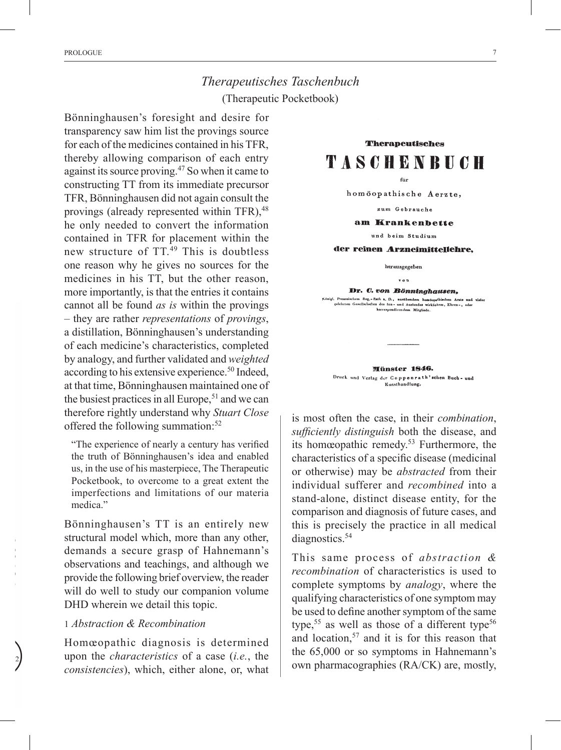# *Therapeutisches Taschenbuch*  (Therapeutic Pocketbook)

Bönninghausen's foresight and desire for transparency saw him list the provings source for each of the medicines contained in his TFR, thereby allowing comparison of each entry against its source proving.47 So when it came to constructing TT from its immediate precursor TFR, Bönninghausen did not again consult the provings (already represented within TFR),  $48$ he only needed to convert the information contained in TFR for placement within the new structure of  $TT<sup>49</sup>$  This is doubtless one reason why he gives no sources for the medicines in his TT, but the other reason, more importantly, is that the entries it contains cannot all be found *as is* within the provings – they are rather *representations* of *provings*, a distillation, Bönninghausen's understanding of each medicine's characteristics, completed by analogy, and further validated and *weighted* according to his extensive experience.<sup>50</sup> Indeed, at that time, Bönninghausen maintained one of the busiest practices in all Europe,  $51$  and we can therefore rightly understand why *Stuart Close* offered the following summation:<sup>52</sup>

"The experience of nearly a century has verified the truth of Bönninghausen's idea and enabled us, in the use of his masterpiece, The Therapeutic Pocketbook, to overcome to a great extent the imperfections and limitations of our materia medica."

Bönninghausen's TT is an entirely new structural model which, more than any other, demands a secure grasp of Hahnemann's observations and teachings, and although we provide the following brief overview, the reader will do well to study our companion volume DHD wherein we detail this topic.

## 1 *Abstraction & Recombination*

Homœopathic diagnosis is determined upon the *characteristics* of a case (*i.e.*, the *consistencies*), which, either alone, or, what

**Therapeutisches TASCHENBUCH** 

 $\mathcal{L}_{i1}$ 

homöopathische Aerzte,

zum Gebrauche

#### am Krankenbette

und beim Studium

der reinen Arzneimittellehre,

herausgegeben

von

Dr. C. von Bönninghausen, »<br>Preussischem Reg.-Rath a. D., ausübendem homöopatl<br>lehrten Gesellschaften des inn- und Auslandes wirkliche

Münster 1846. Druck und Verlag der Coppenrath'schen Buch- und Kunsthandlung,

is most often the case, in their *combination*, *sufficiently distinguish* both the disease, and its homœopathic remedy.53 Furthermore, the characteristics of a specific disease (medicinal or otherwise) may be *abstracted* from their individual sufferer and *recombined* into a stand-alone, distinct disease entity, for the comparison and diagnosis of future cases, and this is precisely the practice in all medical diagnostics.<sup>54</sup>

This same process of *abstraction & recombination* of characteristics is used to complete symptoms by *analogy*, where the qualifying characteristics of one symptom may be used to define another symptom of the same type,<sup>55</sup> as well as those of a different type<sup>56</sup> and location, $57$  and it is for this reason that the 65,000 or so symptoms in Hahnemann's own pharmacographies (RA/CK) are, mostly,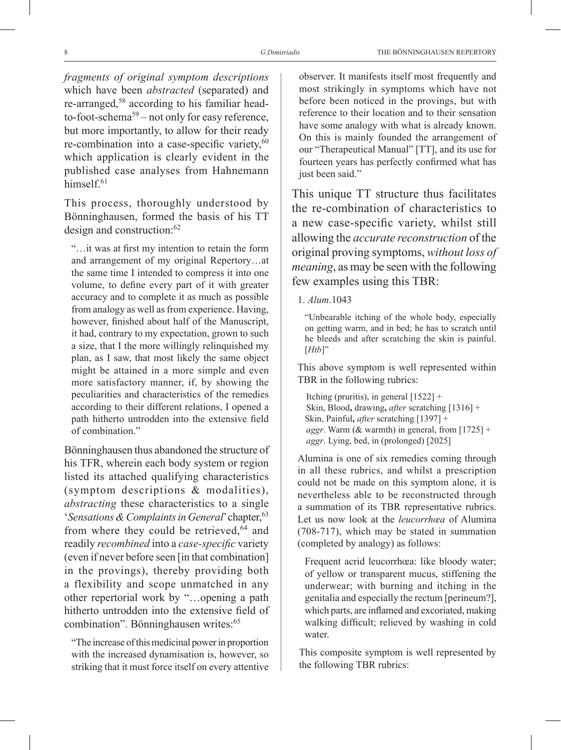*fragments of original symptom descriptions*  which have been *abstracted* (separated) and re-arranged,58 according to his familiar headto-foot-schema<sup>59</sup> – not only for easy reference, but more importantly, to allow for their ready re-combination into a case-specific variety,<sup>60</sup> which application is clearly evident in the published case analyses from Hahnemann himsel $f<sup>61</sup>$ 

This process, thoroughly understood by Bönninghausen, formed the basis of his TT design and construction:62

"…it was at first my intention to retain the form and arrangement of my original Repertory…at the same time I intended to compress it into one volume, to define every part of it with greater accuracy and to complete it as much as possible from analogy as well as from experience. Having, however, finished about half of the Manuscript, it had, contrary to my expectation, grown to such a size, that I the more willingly relinquished my plan, as I saw, that most likely the same object might be attained in a more simple and even more satisfactory manner, if, by showing the peculiarities and characteristics of the remedies according to their different relations, I opened a path hitherto untrodden into the extensive field of combination."

Bönninghausen thus abandoned the structure of his TFR, wherein each body system or region listed its attached qualifying characteristics (symptom descriptions & modalities), *abstracting* these characteristics to a single *'Sensations & Complaints in General'* chapter, <sup>63</sup> from where they could be retrieved, $64$  and readily *recombined* into a *case-specific* variety (even if never before seen [in that combination] in the provings), thereby providing both a flexibility and scope unmatched in any other repertorial work by "…opening a path hitherto untrodden into the extensive field of combination". Bönninghausen writes:<sup>65</sup>

"The increase of this medicinal power in proportion with the increased dynamisation is, however, so striking that it must force itself on every attentive

observer. It manifests itself most frequently and most strikingly in symptoms which have not before been noticed in the provings, but with reference to their location and to their sensation have some analogy with what is already known. On this is mainly founded the arrangement of our "Therapeutical Manual" [TT], and its use for fourteen years has perfectly confirmed what has just been said."

This unique TT structure thus facilitates the re-combination of characteristics to a new case-specific variety, whilst still allowing the *accurate reconstruction* of the original proving symptoms, *without loss of meaning*, as may be seen with the following few examples using this TBR:

#### 1. *Alum*.1043

"Unbearable itching of the whole body, especially on getting warm, and in bed; he has to scratch until he bleeds and after scratching the skin is painful. [*Htb*]"

This above symptom is well represented within TBR in the following rubrics:

Itching (pruritis), in general  $[1522]$  + Skin, Blood**,** drawing**,** *after* scratching [1316] + Skin, Painful**,** *after* scratching [1397] + *aggr*. Warm (& warmth) in general, from [1725] + *aggr*. Lying, bed, in (prolonged) [2025]

Alumina is one of six remedies coming through in all these rubrics, and whilst a prescription could not be made on this symptom alone, it is nevertheless able to be reconstructed through a summation of its TBR representative rubrics. Let us now look at the *leucorrhœa* of Alumina (708-717), which may be stated in summation (completed by analogy) as follows:

Frequent acrid leucorrhœa: like bloody water; of yellow or transparent mucus, stiffening the underwear; with burning and itching in the genitalia and especially the rectum [perineum?], which parts, are inflamed and excoriated, making walking difficult; relieved by washing in cold water.

This composite symptom is well represented by the following TBR rubrics: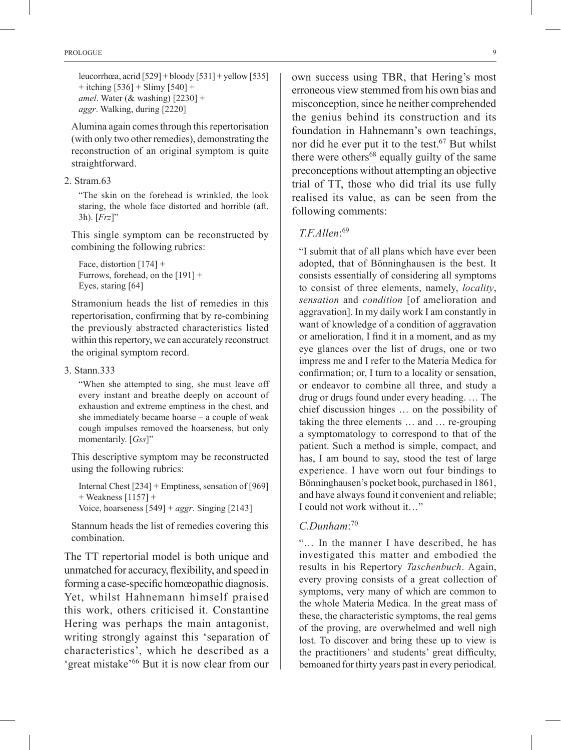leucorrhœa, acrid  $[529] + 6$ loody  $[531] + 6$ yellow  $[535]$  $+$  itching  $[536] +$  Slimy  $[540] +$ *amel*. Water (& washing) [2230] + *aggr*. Walking, during [2220]

Alumina again comes through this repertorisation (with only two other remedies), demonstrating the reconstruction of an original symptom is quite straightforward.

2. Stram.63

"The skin on the forehead is wrinkled, the look staring, the whole face distorted and horrible (aft. 3h). [*Frz*]"

This single symptom can be reconstructed by combining the following rubrics:

Face, distortion [174] + Furrows, forehead, on the [191] + Eyes, staring [64]

Stramonium heads the list of remedies in this repertorisation, confirming that by re-combining the previously abstracted characteristics listed within this repertory, we can accurately reconstruct the original symptom record.

#### 3. Stann.333

"When she attempted to sing, she must leave off every instant and breathe deeply on account of exhaustion and extreme emptiness in the chest, and she immediately became hoarse – a couple of weak cough impulses removed the hoarseness, but only momentarily. [*Gss*]"

This descriptive symptom may be reconstructed using the following rubrics:

Internal Chest [234] + Emptiness, sensation of [969] + Weakness [1157] + Voice, hoarseness [549] + *aggr*. Singing [2143]

Stannum heads the list of remedies covering this combination.

The TT repertorial model is both unique and unmatched for accuracy, flexibility, and speed in forming a case-specific homœopathic diagnosis. Yet, whilst Hahnemann himself praised this work, others criticised it. Constantine Hering was perhaps the main antagonist, writing strongly against this 'separation of characteristics', which he described as a 'great mistake'66 But it is now clear from our

own success using TBR, that Hering's most erroneous view stemmed from his own bias and misconception, since he neither comprehended the genius behind its construction and its foundation in Hahnemann's own teachings, nor did he ever put it to the test.<sup>67</sup> But whilst there were others<sup>68</sup> equally guilty of the same preconceptions without attempting an objective trial of TT, those who did trial its use fully realised its value, as can be seen from the following comments:

## *T.F.Allen*: 69

"I submit that of all plans which have ever been adopted, that of Bönninghausen is the best. It consists essentially of considering all symptoms to consist of three elements, namely, *locality*, *sensation* and *condition* [of amelioration and aggravation]. In my daily work I am constantly in want of knowledge of a condition of aggravation or amelioration, I find it in a moment, and as my eye glances over the list of drugs, one or two impress me and I refer to the Materia Medica for confirmation; or, I turn to a locality or sensation, or endeavor to combine all three, and study a drug or drugs found under every heading. … The chief discussion hinges … on the possibility of taking the three elements … and … re-grouping a symptomatology to correspond to that of the patient. Such a method is simple, compact, and has, I am bound to say, stood the test of large experience. I have worn out four bindings to Bönninghausen's pocket book, purchased in 1861, and have always found it convenient and reliable; I could not work without it…"

## *C.Dunham*: 70

"… In the manner I have described, he has investigated this matter and embodied the results in his Repertory *Taschenbuch*. Again, every proving consists of a great collection of symptoms, very many of which are common to the whole Materia Medica. In the great mass of these, the characteristic symptoms, the real gems of the proving, are overwhelmed and well nigh lost. To discover and bring these up to view is the practitioners' and students' great difficulty, bemoaned for thirty years past in every periodical.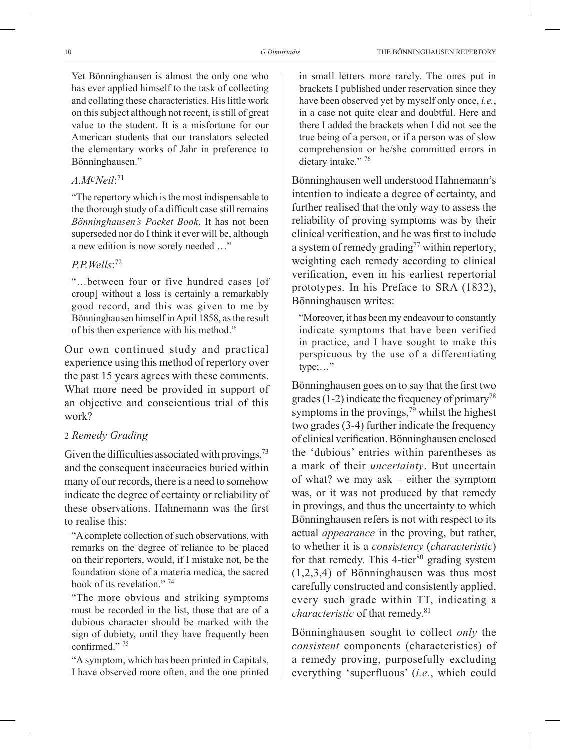Yet Bönninghausen is almost the only one who has ever applied himself to the task of collecting and collating these characteristics. His little work on this subject although not recent, is still of great value to the student. It is a misfortune for our American students that our translators selected the elementary works of Jahr in preference to Bönninghausen."

## *A.McNeil*: 71

"The repertory which is the most indispensable to the thorough study of a difficult case still remains *Bönninghausen's Pocket Book*. It has not been superseded nor do I think it ever will be, although a new edition is now sorely needed …"

## *P.P.Wells*: 72

"…between four or five hundred cases [of croup] without a loss is certainly a remarkably good record, and this was given to me by Bönninghausen himself in April 1858, as the result of his then experience with his method."

Our own continued study and practical experience using this method of repertory over the past 15 years agrees with these comments. What more need be provided in support of an objective and conscientious trial of this work?

## 2 *Remedy Grading*

Given the difficulties associated with provings,  $73$ and the consequent inaccuracies buried within many of our records, there is a need to somehow indicate the degree of certainty or reliability of these observations. Hahnemann was the first to realise this:

"A complete collection of such observations, with remarks on the degree of reliance to be placed on their reporters, would, if I mistake not, be the foundation stone of a materia medica, the sacred book of its revelation." 74

"The more obvious and striking symptoms must be recorded in the list, those that are of a dubious character should be marked with the sign of dubiety, until they have frequently been confirmed."<sup>75</sup>

"A symptom, which has been printed in Capitals, I have observed more often, and the one printed in small letters more rarely. The ones put in brackets I published under reservation since they have been observed yet by myself only once, *i.e.*, in a case not quite clear and doubtful. Here and there I added the brackets when I did not see the true being of a person, or if a person was of slow comprehension or he/she committed errors in dietary intake." 76

Bönninghausen well understood Hahnemann's intention to indicate a degree of certainty, and further realised that the only way to assess the reliability of proving symptoms was by their clinical verification, and he was first to include a system of remedy grading<sup>77</sup> within repertory, weighting each remedy according to clinical verification, even in his earliest repertorial prototypes. In his Preface to SRA (1832), Bönninghausen writes:

"Moreover, it has been my endeavour to constantly indicate symptoms that have been verified in practice, and I have sought to make this perspicuous by the use of a differentiating type;…"

Bönninghausen goes on to say that the first two grades (1-2) indicate the frequency of primary<sup>78</sup> symptoms in the provings, $\frac{79}{9}$  whilst the highest two grades (3-4) further indicate the frequency of clinical verification. Bönninghausen enclosed the 'dubious' entries within parentheses as a mark of their *uncertainty*. But uncertain of what? we may ask – either the symptom was, or it was not produced by that remedy in provings, and thus the uncertainty to which Bönninghausen refers is not with respect to its actual *appearance* in the proving, but rather, to whether it is a *consistency* (*characteristic*) for that remedy. This  $4$ -tier $80$  grading system (1,2,3,4) of Bönninghausen was thus most carefully constructed and consistently applied, every such grade within TT, indicating a *characteristic* of that remedy.<sup>81</sup>

Bönninghausen sought to collect *only* the *consistent* components (characteristics) of a remedy proving, purposefully excluding everything 'superfluous' (*i.e.*, which could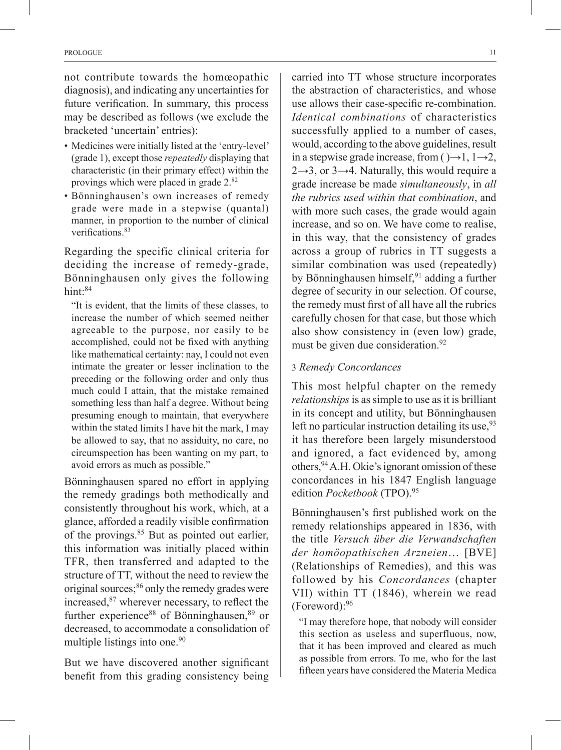not contribute towards the homœopathic diagnosis), and indicating any uncertainties for future verification. In summary, this process may be described as follows (we exclude the bracketed 'uncertain' entries):

- Medicines were initially listed at the 'entry-level' (grade 1), except those *repeatedly* displaying that characteristic (in their primary effect) within the provings which were placed in grade 2.82
- Bönninghausen's own increases of remedy grade were made in a stepwise (quantal) manner, in proportion to the number of clinical verifications.<sup>83</sup>

Regarding the specific clinical criteria for deciding the increase of remedy-grade, Bönninghausen only gives the following hint:<sup>84</sup>

"It is evident, that the limits of these classes, to increase the number of which seemed neither agreeable to the purpose, nor easily to be accomplished, could not be fixed with anything like mathematical certainty: nay, I could not even intimate the greater or lesser inclination to the preceding or the following order and only thus much could I attain, that the mistake remained something less than half a degree. Without being presuming enough to maintain, that everywhere within the stated limits I have hit the mark, I may be allowed to say, that no assiduity, no care, no circumspection has been wanting on my part, to avoid errors as much as possible."

Bönninghausen spared no effort in applying the remedy gradings both methodically and consistently throughout his work, which, at a glance, afforded a readily visible confirmation of the provings.<sup>85</sup> But as pointed out earlier, this information was initially placed within TFR, then transferred and adapted to the structure of TT, without the need to review the original sources;<sup>86</sup> only the remedy grades were increased,87 wherever necessary, to reflect the further experience<sup>88</sup> of Bönninghausen,<sup>89</sup> or decreased, to accommodate a consolidation of multiple listings into one.<sup>90</sup>

But we have discovered another significant benefit from this grading consistency being carried into TT whose structure incorporates the abstraction of characteristics, and whose use allows their case-specific re-combination. *Identical combinations* of characteristics successfully applied to a number of cases, would, according to the above guidelines, result in a stepwise grade increase, from  $() \rightarrow 1, 1 \rightarrow 2$ ,  $2\rightarrow 3$ , or  $3\rightarrow 4$ . Naturally, this would require a grade increase be made *simultaneously*, in *all the rubrics used within that combination*, and with more such cases, the grade would again increase, and so on. We have come to realise, in this way, that the consistency of grades across a group of rubrics in TT suggests a similar combination was used (repeatedly) by Bönninghausen himself,  $91$  adding a further degree of security in our selection. Of course, the remedy must first of all have all the rubrics carefully chosen for that case, but those which also show consistency in (even low) grade, must be given due consideration.<sup>92</sup>

## 3 *Remedy Concordances*

This most helpful chapter on the remedy *relationships* is as simple to use as it is brilliant in its concept and utility, but Bönninghausen left no particular instruction detailing its use,  $93$ it has therefore been largely misunderstood and ignored, a fact evidenced by, among others,94A.H. Okie's ignorant omission of these concordances in his 1847 English language edition *Pocketbook* (TPO).95

Bönninghausen's first published work on the remedy relationships appeared in 1836, with the title *Versuch über die Verwandschaften der homöopathischen Arzneien*… [BVE] (Relationships of Remedies), and this was followed by his *Concordances* (chapter VII) within TT (1846), wherein we read (Foreword):96

"I may therefore hope, that nobody will consider this section as useless and superfluous, now, that it has been improved and cleared as much as possible from errors. To me, who for the last fifteen years have considered the Materia Medica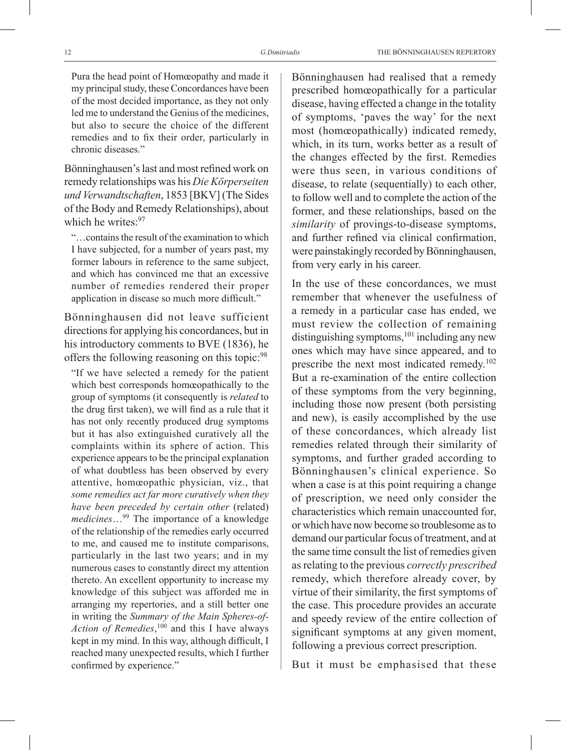Pura the head point of Homœopathy and made it my principal study, these Concordances have been of the most decided importance, as they not only led me to understand the Genius of the medicines, but also to secure the choice of the different remedies and to fix their order, particularly in chronic diseases."

Bönninghausen's last and most refined work on remedy relationships was his *Die Körperseiten und Verwandtschaften*, 1853 [BKV] (The Sides of the Body and Remedy Relationships), about which he writes: 97

"…contains the result of the examination to which I have subjected, for a number of years past, my former labours in reference to the same subject, and which has convinced me that an excessive number of remedies rendered their proper application in disease so much more difficult."

Bönninghausen did not leave sufficient directions for applying his concordances, but in his introductory comments to BVE (1836), he offers the following reasoning on this topic:98

"If we have selected a remedy for the patient which best corresponds homœopathically to the group of symptoms (it consequently is *related* to the drug first taken), we will find as a rule that it has not only recently produced drug symptoms but it has also extinguished curatively all the complaints within its sphere of action. This experience appears to be the principal explanation of what doubtless has been observed by every attentive, homœopathic physician, viz., that *some remedies act far more curatively when they have been preceded by certain other* (related) *medicines*…99 The importance of a knowledge of the relationship of the remedies early occurred to me, and caused me to institute comparisons, particularly in the last two years; and in my numerous cases to constantly direct my attention thereto. An excellent opportunity to increase my knowledge of this subject was afforded me in arranging my repertories, and a still better one in writing the *Summary of the Main Spheres-of-Action of Remedies*, 100 and this I have always kept in my mind. In this way, although difficult, I reached many unexpected results, which I further confirmed by experience."

Bönninghausen had realised that a remedy prescribed homœopathically for a particular disease, having effected a change in the totality of symptoms, 'paves the way' for the next most (homœopathically) indicated remedy, which, in its turn, works better as a result of the changes effected by the first. Remedies were thus seen, in various conditions of disease, to relate (sequentially) to each other, to follow well and to complete the action of the former, and these relationships, based on the *similarity* of provings-to-disease symptoms, and further refined via clinical confirmation, were painstakingly recorded by Bönninghausen, from very early in his career.

In the use of these concordances, we must remember that whenever the usefulness of a remedy in a particular case has ended, we must review the collection of remaining distinguishing symptoms,<sup>101</sup> including any new ones which may have since appeared, and to prescribe the next most indicated remedy.<sup>102</sup> But a re-examination of the entire collection of these symptoms from the very beginning, including those now present (both persisting and new), is easily accomplished by the use of these concordances, which already list remedies related through their similarity of symptoms, and further graded according to Bönninghausen's clinical experience. So when a case is at this point requiring a change of prescription, we need only consider the characteristics which remain unaccounted for, or which have now become so troublesome as to demand our particular focus of treatment, and at the same time consult the list of remedies given as relating to the previous *correctly prescribed* remedy, which therefore already cover, by virtue of their similarity, the first symptoms of the case. This procedure provides an accurate and speedy review of the entire collection of significant symptoms at any given moment, following a previous correct prescription.

But it must be emphasised that these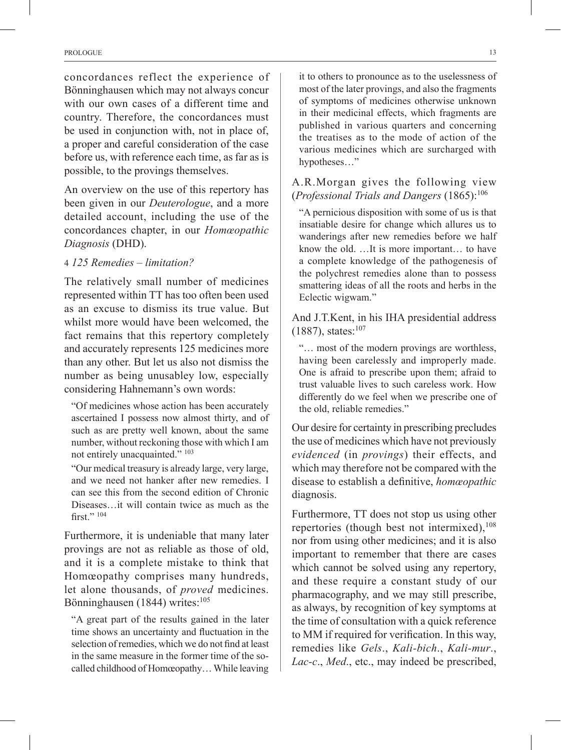concordances reflect the experience of Bönninghausen which may not always concur with our own cases of a different time and country. Therefore, the concordances must be used in conjunction with, not in place of, a proper and careful consideration of the case before us, with reference each time, as far as is possible, to the provings themselves.

An overview on the use of this repertory has been given in our *Deuterologue*, and a more detailed account, including the use of the concordances chapter, in our *Homœopathic Diagnosis* (DHD).

## 4 *125 Remedies – limitation?*

The relatively small number of medicines represented within TT has too often been used as an excuse to dismiss its true value. But whilst more would have been welcomed, the fact remains that this repertory completely and accurately represents 125 medicines more than any other. But let us also not dismiss the number as being unusabley low, especially considering Hahnemann's own words:

"Of medicines whose action has been accurately ascertained I possess now almost thirty, and of such as are pretty well known, about the same number, without reckoning those with which I am not entirely unacquainted." 103

"Our medical treasury is already large, very large, and we need not hanker after new remedies. I can see this from the second edition of Chronic Diseases…it will contain twice as much as the first." <sup>104</sup>

Furthermore, it is undeniable that many later provings are not as reliable as those of old, and it is a complete mistake to think that Homœopathy comprises many hundreds, let alone thousands, of *proved* medicines. Bönninghausen (1844) writes:<sup>105</sup>

"A great part of the results gained in the later time shows an uncertainty and fluctuation in the selection of remedies, which we do not find at least in the same measure in the former time of the socalled childhood of Homœopathy… While leaving it to others to pronounce as to the uselessness of most of the later provings, and also the fragments of symptoms of medicines otherwise unknown in their medicinal effects, which fragments are published in various quarters and concerning the treatises as to the mode of action of the various medicines which are surcharged with hypotheses…"

## A.R.Morgan gives the following view (*Professional Trials and Dangers* (1865):106

"A pernicious disposition with some of us is that insatiable desire for change which allures us to wanderings after new remedies before we half know the old. …It is more important… to have a complete knowledge of the pathogenesis of the polychrest remedies alone than to possess smattering ideas of all the roots and herbs in the Eclectic wigwam."

And J.T.Kent, in his IHA presidential address  $(1887)$ , states:<sup>107</sup>

"… most of the modern provings are worthless, having been carelessly and improperly made. One is afraid to prescribe upon them; afraid to trust valuable lives to such careless work. How differently do we feel when we prescribe one of the old, reliable remedies."

Our desire for certainty in prescribing precludes the use of medicines which have not previously *evidenced* (in *provings*) their effects, and which may therefore not be compared with the disease to establish a definitive, *homœopathic* diagnosis.

Furthermore, TT does not stop us using other repertories (though best not intermixed),  $^{108}$ nor from using other medicines; and it is also important to remember that there are cases which cannot be solved using any repertory, and these require a constant study of our pharmacography, and we may still prescribe, as always, by recognition of key symptoms at the time of consultation with a quick reference to MM if required for verification. In this way, remedies like *Gels*., *Kali-bich*., *Kali-mur*., *Lac-c*., *Med*., etc., may indeed be prescribed,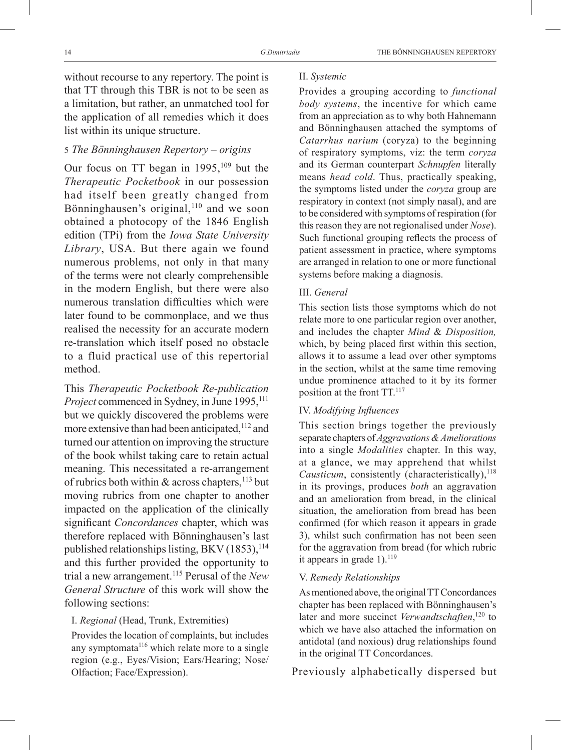without recourse to any repertory. The point is that TT through this TBR is not to be seen as a limitation, but rather, an unmatched tool for the application of all remedies which it does list within its unique structure.

#### 5 *The Bönninghausen Repertory* – *origins*

Our focus on TT began in  $1995$ ,  $109$  but the *Therapeutic Pocketbook* in our possession had itself been greatly changed from Bönninghausen's original, $110$  and we soon obtained a photocopy of the 1846 English edition (TPi) from the *Iowa State University Library*, USA. But there again we found numerous problems, not only in that many of the terms were not clearly comprehensible in the modern English, but there were also numerous translation difficulties which were later found to be commonplace, and we thus realised the necessity for an accurate modern re-translation which itself posed no obstacle to a fluid practical use of this repertorial method.

This *Therapeutic Pocketbook Re-publication Project* commenced in Sydney, in June 1995,<sup>111</sup> but we quickly discovered the problems were more extensive than had been anticipated,<sup>112</sup> and turned our attention on improving the structure of the book whilst taking care to retain actual meaning. This necessitated a re-arrangement of rubrics both within  $\&$  across chapters,  $^{113}$  but moving rubrics from one chapter to another impacted on the application of the clinically significant *Concordances* chapter, which was therefore replaced with Bönninghausen's last published relationships listing, BKV  $(1853)$ ,  $^{114}$ and this further provided the opportunity to trial a new arrangement.115 Perusal of the *New General Structure* of this work will show the following sections:

### I. *Regional* (Head, Trunk, Extremities)

Provides the location of complaints, but includes any symptomata $116$  which relate more to a single region (e.g., Eyes/Vision; Ears/Hearing; Nose/ Olfaction; Face/Expression).

#### II. *Systemic*

Provides a grouping according to *functional body systems*, the incentive for which came from an appreciation as to why both Hahnemann and Bönninghausen attached the symptoms of *Catarrhus narium* (coryza) to the beginning of respiratory symptoms, viz: the term *coryza* and its German counterpart *Schnupfen* literally means *head cold*. Thus, practically speaking, the symptoms listed under the *coryza* group are respiratory in context (not simply nasal), and are to be considered with symptoms of respiration (for this reason they are not regionalised under *Nose*). Such functional grouping reflects the process of patient assessment in practice, where symptoms are arranged in relation to one or more functional systems before making a diagnosis.

#### III. *General*

This section lists those symptoms which do not relate more to one particular region over another, and includes the chapter *Mind* & *Disposition,* which, by being placed first within this section, allows it to assume a lead over other symptoms in the section, whilst at the same time removing undue prominence attached to it by its former position at the front TT.117

### IV. *Modifying Influences*

This section brings together the previously separate chapters of *Aggravations&Ameliorations* into a single *Modalities* chapter. In this way, at a glance, we may apprehend that whilst *Causticum*, consistently (characteristically),<sup>118</sup> in its provings, produces *both* an aggravation and an amelioration from bread, in the clinical situation, the amelioration from bread has been confirmed (for which reason it appears in grade 3), whilst such confirmation has not been seen for the aggravation from bread (for which rubric it appears in grade  $1$ ).<sup>119</sup>

#### V. *Remedy Relationships*

As mentioned above, the original TT Concordances chapter has been replaced with Bönninghausen's later and more succinct *Verwandtschaften*, 120 to which we have also attached the information on antidotal (and noxious) drug relationships found in the original TT Concordances.

Previously alphabetically dispersed but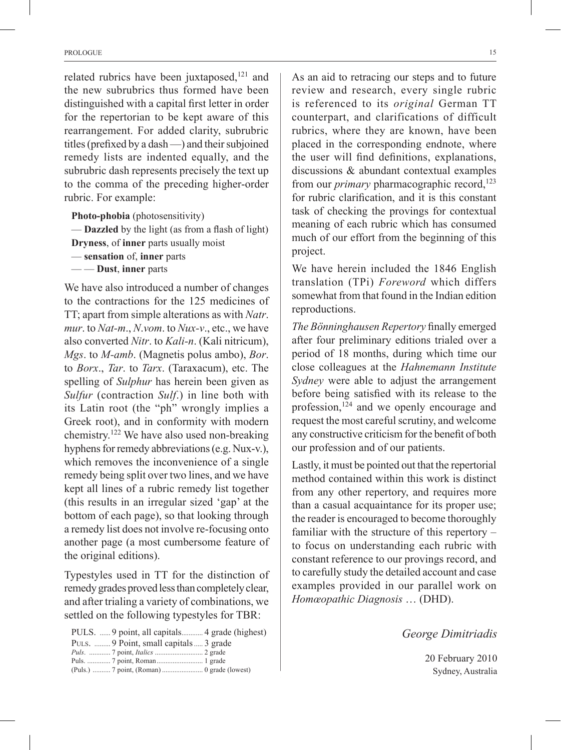related rubrics have been juxtaposed,<sup>121</sup> and the new subrubrics thus formed have been distinguished with a capital first letter in order for the repertorian to be kept aware of this rearrangement. For added clarity, subrubric titles (prefixed by a dash —) and their subjoined remedy lists are indented equally, and the subrubric dash represents precisely the text up to the comma of the preceding higher-order rubric. For example:

**Photo‑phobia** (photosensitivity) — **Dazzled** by the light (as from a flash of light) **Dryness**, of **inner** parts usually moist — **sensation** of, **inner** parts — — **Dust**, **inner** parts

We have also introduced a number of changes to the contractions for the 125 medicines of TT; apart from simple alterations as with *Natr*. *mur*. to *Nat-m*., *N*.*vom*. to *Nux-v*., etc., we have also converted *Nitr*. to *Kali-n*. (Kali nitricum), *Mgs*. to *M-amb*. (Magnetis polus ambo), *Bor*. to *Borx*., *Tar*. to *Tarx*. (Taraxacum), etc. The spelling of *Sulphur* has herein been given as *Sulfur* (contraction *Sulf*.) in line both with its Latin root (the "ph" wrongly implies a Greek root), and in conformity with modern chemistry.122 We have also used non-breaking hyphens for remedy abbreviations (e.g. Nux-v.), which removes the inconvenience of a single remedy being split over two lines, and we have kept all lines of a rubric remedy list together (this results in an irregular sized 'gap' at the bottom of each page), so that looking through a remedy list does not involve re-focusing onto another page (a most cumbersome feature of the original editions).

Typestyles used in TT for the distinction of remedy grades proved less than completely clear, and after trialing a variety of combinations, we settled on the following typestyles for TBR:

| PULS.  9 Point, small capitals  3 grade        |  |
|------------------------------------------------|--|
| <i>Puls. </i> 7 point, <i>Italics </i> 2 grade |  |
|                                                |  |
|                                                |  |

As an aid to retracing our steps and to future review and research, every single rubric is referenced to its *original* German TT counterpart, and clarifications of difficult rubrics, where they are known, have been placed in the corresponding endnote, where the user will find definitions, explanations, discussions & abundant contextual examples from our *primary* pharmacographic record.<sup>123</sup> for rubric clarification, and it is this constant task of checking the provings for contextual meaning of each rubric which has consumed much of our effort from the beginning of this project.

We have herein included the 1846 English translation (TPi) *Foreword* which differs somewhat from that found in the Indian edition reproductions.

*The Bönninghausen Repertory* finally emerged after four preliminary editions trialed over a period of 18 months, during which time our close colleagues at the *Hahnemann Institute Sydney* were able to adjust the arrangement before being satisfied with its release to the profession, $124$  and we openly encourage and request the most careful scrutiny, and welcome any constructive criticism for the benefit of both our profession and of our patients.

Lastly, it must be pointed out that the repertorial method contained within this work is distinct from any other repertory, and requires more than a casual acquaintance for its proper use; the reader is encouraged to become thoroughly familiar with the structure of this repertory – to focus on understanding each rubric with constant reference to our provings record, and to carefully study the detailed account and case examples provided in our parallel work on *Homœopathic Diagnosis* … (DHD).

*George Dimitriadis*

20 February 2010 Sydney, Australia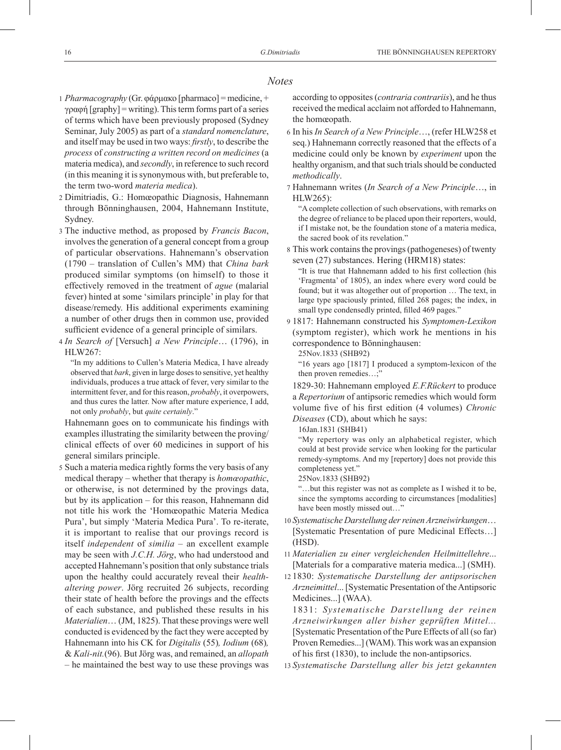#### *Notes*

- 1 *Pharmacography* (Gr. φάρμακο [pharmaco] = medicine, + γραφή [graphy] = writing). This term forms part of a series of terms which have been previously proposed (Sydney Seminar, July 2005) as part of a *standard nomenclature*, and itself may be used in two ways: *firstly*, to describe the *process* of *constructing a written record on medicines* (a materia medica), and *secondly*, in reference to such record (in this meaning it is synonymous with, but preferable to, the term two-word *materia medica*).
- 2 Dimitriadis, G.: Homœopathic Diagnosis, Hahnemann through Bönninghausen, 2004, Hahnemann Institute, Sydney.
- 3 The inductive method, as proposed by *Francis Bacon*, involves the generation of a general concept from a group of particular observations. Hahnemann's observation (1790 – translation of Cullen's MM) that *China bark* produced similar symptoms (on himself) to those it effectively removed in the treatment of *ague* (malarial fever) hinted at some 'similars principle' in play for that disease/remedy. His additional experiments examining a number of other drugs then in common use, provided sufficient evidence of a general principle of similars.
- 4 *In Search of* [Versuch] *a New Principle*… (1796), in HLW267:

"In my additions to Cullen's Materia Medica, I have already observed that *bark*, given in large doses to sensitive, yet healthy individuals, produces a true attack of fever, very similar to the intermittent fever, and for this reason, *probably*, it overpowers, and thus cures the latter. Now after mature experience, I add, not only *probably*, but *quite certainly*."

Hahnemann goes on to communicate his findings with examples illustrating the similarity between the proving/ clinical effects of over 60 medicines in support of his general similars principle.

5 Such a materia medica rightly forms the very basis of any medical therapy – whether that therapy is *homœopathic*, or otherwise, is not determined by the provings data, but by its application – for this reason, Hahnemann did not title his work the 'Homœopathic Materia Medica Pura', but simply 'Materia Medica Pura'. To re-iterate, it is important to realise that our provings record is itself *independent* of *similia –* an excellent example may be seen with *J.C.H. Jörg*, who had understood and accepted Hahnemann's position that only substance trials upon the healthy could accurately reveal their *healthaltering power*. Jörg recruited 26 subjects, recording their state of health before the provings and the effects of each substance, and published these results in his *Materialien*… (JM, 1825). That these provings were well conducted is evidenced by the fact they were accepted by Hahnemann into his CK for *Digitalis* (55)*, Iodium* (68)*,*  & *Kali-nit.*(96). But Jörg was, and remained, an *allopath*  – he maintained the best way to use these provings was

according to opposites (*contraria contrariis*), and he thus received the medical acclaim not afforded to Hahnemann, the homœopath.

- 6 In his *In Search of a New Principle*…, (refer HLW258 et seq.) Hahnemann correctly reasoned that the effects of a medicine could only be known by *experiment* upon the healthy organism, and that such trials should be conducted *methodically*.
- 7 Hahnemann writes (*In Search of a New Principle*…, in HLW265):

"A complete collection of such observations, with remarks on the degree of reliance to be placed upon their reporters, would, if I mistake not, be the foundation stone of a materia medica, the sacred book of its revelation."

8 This work contains the provings (pathogeneses) of twenty seven (27) substances. Hering (HRM18) states:

"It is true that Hahnemann added to his first collection (his 'Fragmenta' of 1805), an index where every word could be found; but it was altogether out of proportion … The text, in large type spaciously printed, filled 268 pages; the index, in small type condensedly printed, filled 469 pages."

9 1817: Hahnemann constructed his *Symptomen-Lexikon* (symptom register), which work he mentions in his correspondence to Bönninghausen:

25Nov.1833 (SHB92)

"16 years ago [1817] I produced a symptom-lexicon of the then proven remedies...;

1829-30: Hahnemann employed *E.F.Rückert* to produce a *Repertorium* of antipsoric remedies which would form volume five of his first edition (4 volumes) *Chronic Diseases* (CD), about which he says:

16Jan.1831 (SHB41)

"My repertory was only an alphabetical register, which could at best provide service when looking for the particular remedy-symptoms. And my [repertory] does not provide this completeness yet."

25Nov.1833 (SHB92)

"…but this register was not as complete as I wished it to be, since the symptoms according to circumstances [modalities] have been mostly missed out..."

- 10 *Systematische Darstellung der reinen Arzneiwirkungen*… [Systematic Presentation of pure Medicinal Effects…] (HSD).
- 11 *Materialien zu einer vergleichenden Heilmittellehre*... [Materials for a comparative materia medica...] (SMH).
- 12 1830: *Systematische Darstellung der antipsorischen Arzneimittel*... [Systematic Presentation of the Antipsoric Medicines...] (WAA).

1831: *Systematische Darstellung der reinen Arzneiwirkungen aller bisher geprüften Mittel...*  [Systematic Presentation of the Pure Effects of all (so far) Proven Remedies...] (WAM). This work was an expansion of his first (1830), to include the non-antipsorics.

13 *Systematische Darstellung aller bis jetzt gekannten*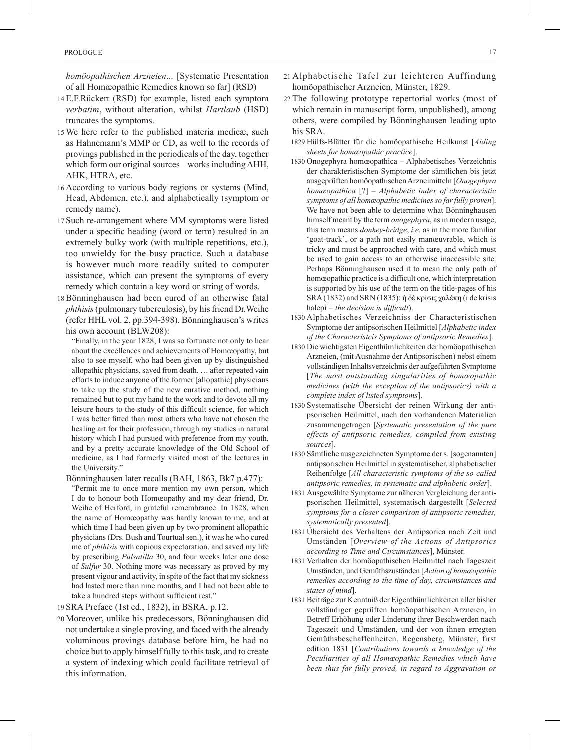*homöopathischen Arzneien*... [Systematic Presentation of all Homœopathic Remedies known so far] (RSD)

- 14 E.F.Rückert (RSD) for example, listed each symptom *verbatim*, without alteration, whilst *Hartlaub* (HSD) truncates the symptoms.
- 15 We here refer to the published materia medicæ, such as Hahnemann's MMP or CD, as well to the records of provings published in the periodicals of the day, together which form our original sources – works including AHH, AHK, HTRA, etc.
- 16 According to various body regions or systems (Mind, Head, Abdomen, etc.), and alphabetically (symptom or remedy name).
- 17 Such re-arrangement where MM symptoms were listed under a specific heading (word or term) resulted in an extremely bulky work (with multiple repetitions, etc.), too unwieldy for the busy practice. Such a database is however much more readily suited to computer assistance, which can present the symptoms of every remedy which contain a key word or string of words.
- 18 Bönninghausen had been cured of an otherwise fatal *phthisis* (pulmonary tuberculosis), by his friend Dr.Weihe (refer HHL vol. 2, pp.394-398). Bönninghausen's writes his own account (BLW208):
	- "Finally, in the year 1828, I was so fortunate not only to hear about the excellences and achievements of Homœopathy, but also to see myself, who had been given up by distinguished allopathic physicians, saved from death. … after repeated vain efforts to induce anyone of the former [allopathic] physicians to take up the study of the new curative method, nothing remained but to put my hand to the work and to devote all my leisure hours to the study of this difficult science, for which I was better fitted than most others who have not chosen the healing art for their profession, through my studies in natural history which I had pursued with preference from my youth, and by a pretty accurate knowledge of the Old School of medicine, as I had formerly visited most of the lectures in the University."
	- Bönninghausen later recalls (BAH, 1863, Bk7 p.477): "Permit me to once more mention my own person, which I do to honour both Homœopathy and my dear friend, Dr. Weihe of Herford, in grateful remembrance. In 1828, when the name of Homœopathy was hardly known to me, and at which time I had been given up by two prominent allopathic physicians (Drs. Bush and Tourtual sen.), it was he who cured me of *phthisis* with copious expectoration, and saved my life by prescribing *Pulsatilla* 30, and four weeks later one dose of *Sulfur* 30. Nothing more was necessary as proved by my present vigour and activity, in spite of the fact that my sickness had lasted more than nine months, and I had not been able to
- take a hundred steps without sufficient rest." 19 SRA Preface (1st ed., 1832), in BSRA, p.12.
- 20 Moreover, unlike his predecessors, Bönninghausen did not undertake a single proving, and faced with the already voluminous provings database before him, he had no choice but to apply himself fully to this task, and to create a system of indexing which could facilitate retrieval of this information.
- 21 Alphabetische Tafel zur leichteren Auffindung homöopathischer Arzneien, Münster, 1829.
- 22 The following prototype repertorial works (most of which remain in manuscript form, unpublished), among others, were compiled by Bönninghausen leading upto his SRA.
	- 1829 Hülfs-Blätter für die homöopathische Heilkunst [*Aiding sheets for homœopathic practice*].
	- 1830 Onogephyra homœopathica Alphabetisches Verzeichnis der charakteristischen Symptome der sämtlichen bis jetzt ausgeprüften homöopathischen Arzneimitteln [*Onogephyra homœopathica* [?] – *Alphabetic index of characteristic symptoms of all homœopathic medicines so far fully proven*]. We have not been able to determine what Bönninghausen himself meant by the term *onogephyra*, as in modern usage, this term means *donkey*-*bridge*, *i.e.* as in the more familiar 'goat-track', or a path not easily manœuvrable, which is tricky and must be approached with care, and which must be used to gain access to an otherwise inaccessible site. Perhaps Bönninghausen used it to mean the only path of homœopathic practice is a difficult one, which interpretation is supported by his use of the term on the title-pages of his SRA (1832) and SRN (1835): ή δέ κρίσις χαλέπη (i de krisis halepi = *the decision is difficult*).
	- 1830 Alphabetisches Verzeichniss der Characteristischen Symptome der antipsorischen Heilmittel [*Alphabetic index of the Characteristcis Symptoms of antipsoric Remedies*].
	- 1830 Die wichtigsten Eigenthümlichkeiten der homöopathischen Arzneien, (mit Ausnahme der Antipsorischen) nebst einem vollständigen Inhaltsverzeichnis der aufgeführten Symptome [*The most outstanding singularities of homœopathic medicines (with the exception of the antipsorics) with a complete index of listed symptoms*].
	- 1830 Systematische Übersicht der reinen Wirkung der antipsorischen Heilmittel, nach den vorhandenen Materialien zusammengetragen [*Systematic presentation of the pure effects of antipsoric remedies, compiled from existing sources*].
	- 1830 Sämtliche ausgezeichneten Symptome der s. [sogenannten] antipsorischen Heilmittel in systematischer, alphabetischer Reihenfolge [*All characteristic symptoms of the so-called antipsoric remedies, in systematic and alphabetic order*].
	- 1831 Ausgewählte Symptome zur näheren Vergleichung der antipsorischen Heilmittel, systematisch dargestellt [*Selected symptoms for a closer comparison of antipsoric remedies, systematically presented*].
	- 1831 Übersicht des Verhaltens der Antipsorica nach Zeit und Umständen [*Overview of the Actions of Antipsorics according to Time and Circumstances*], Münster.
	- 1831 Verhalten der homöopathischen Heilmittel nach Tageszeit Umständen, und Gemüthszuständen [*Action of homœopathic remedies according to the time of day, circumstances and states of mind*].
	- 1831 Beiträge zur Kenntniß der Eigenthümlichkeiten aller bisher vollständiger geprüften homöopathischen Arzneien, in Betreff Erhöhung oder Linderung ihrer Beschwerden nach Tageszeit und Umständen, und der von ihnen erregten Gemüthsbeschaffenheiten, Regensberg, Münster, first edition 1831 [*Contributions towards a knowledge of the Peculiarities of all Homœopathic Remedies which have been thus far fully proved, in regard to Aggravation or*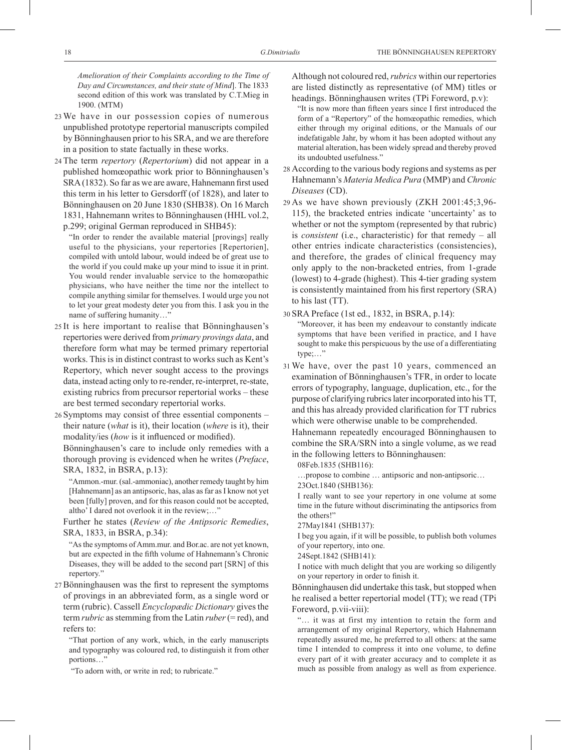*Amelioration of their Complaints according to the Time of Day and Circumstances, and their state of Mind*]. The 1833 second edition of this work was translated by C.T.Mieg in 1900. (MTM)

- 23 We have in our possession copies of numerous unpublished prototype repertorial manuscripts compiled by Bönninghausen prior to his SRA, and we are therefore in a position to state factually in these works.
- 24 The term *repertory* (*Repertorium*) did not appear in a published homœopathic work prior to Bönninghausen's SRA (1832). So far as we are aware, Hahnemann first used this term in his letter to Gersdorff (of 1828), and later to Bönninghausen on 20 June 1830 (SHB38). On 16 March 1831, Hahnemann writes to Bönninghausen (HHL vol.2, p.299; original German reproduced in SHB45):

"In order to render the available material [provings] really useful to the physicians, your repertories [Repertorien], compiled with untold labour, would indeed be of great use to the world if you could make up your mind to issue it in print. You would render invaluable service to the homœopathic physicians, who have neither the time nor the intellect to compile anything similar for themselves. I would urge you not to let your great modesty deter you from this. I ask you in the name of suffering humanity…"

- 25 It is here important to realise that Bönninghausen's repertories were derived from *primary provings data*, and therefore form what may be termed primary repertorial works. This is in distinct contrast to works such as Kent's Repertory, which never sought access to the provings data, instead acting only to re-render, re-interpret, re-state, existing rubrics from precursor repertorial works – these are best termed secondary repertorial works.
- 26 Symptoms may consist of three essential components their nature (*what* is it), their location (*where* is it), their modality/ies (*how* is it influenced or modified).

Bönninghausen's care to include only remedies with a thorough proving is evidenced when he writes (*Preface*, SRA, 1832, in BSRA, p.13):

"Ammon.-mur. (sal.-ammoniac), another remedy taught by him [Hahnemann] as an antipsoric, has, alas as far as I know not yet been [fully] proven, and for this reason could not be accepted, altho' I dared not overlook it in the review;…"

Further he states (*Review of the Antipsoric Remedies*, SRA, 1833, in BSRA, p.34):

"As the symptoms of Amm.mur. and Bor.ac. are not yet known, but are expected in the fifth volume of Hahnemann's Chronic Diseases, they will be added to the second part [SRN] of this repertory."

- 27 Bönninghausen was the first to represent the symptoms of provings in an abbreviated form, as a single word or term (rubric). Cassell *Encyclopædic Dictionary* gives the term *rubric* as stemming from the Latin *ruber* (= red), and refers to:
	- "That portion of any work, which, in the early manuscripts and typography was coloured red, to distinguish it from other portions...'

"To adorn with, or write in red; to rubricate."

 Although not coloured red, *rubrics* within our repertories are listed distinctly as representative (of MM) titles or headings. Bönninghausen writes (TPi Foreword, p.v):

- "It is now more than fifteen years since I first introduced the form of a "Repertory" of the homœopathic remedies, which either through my original editions, or the Manuals of our indefatigable Jahr, by whom it has been adopted without any material alteration, has been widely spread and thereby proved its undoubted usefulness."
- 28 According to the various body regions and systems as per Hahnemann's *Materia Medica Pura* (MMP) and *Chronic Diseases* (CD).
- 29 As we have shown previously (ZKH 2001:45;3,96- 115), the bracketed entries indicate 'uncertainty' as to whether or not the symptom (represented by that rubric) is *consistent* (i.e., characteristic) for that remedy – all other entries indicate characteristics (consistencies), and therefore, the grades of clinical frequency may only apply to the non-bracketed entries, from 1-grade (lowest) to 4-grade (highest). This 4-tier grading system is consistently maintained from his first repertory (SRA) to his last (TT).

30 SRA Preface (1st ed., 1832, in BSRA, p.14):

"Moreover, it has been my endeavour to constantly indicate symptoms that have been verified in practice, and I have sought to make this perspicuous by the use of a differentiating type;…"

31 We have, over the past 10 years, commenced an examination of Bönninghausen's TFR, in order to locate errors of typography, language, duplication, etc., for the purpose of clarifying rubrics later incorporated into his TT, and this has already provided clarification for TT rubrics which were otherwise unable to be comprehended.

Hahnemann repeatedly encouraged Bönninghausen to combine the SRA/SRN into a single volume, as we read in the following letters to Bönninghausen:

08Feb.1835 (SHB116):

…propose to combine … antipsoric and non-antipsoric…

23Oct.1840 (SHB136):

I really want to see your repertory in one volume at some time in the future without discriminating the antipsorics from the others!"

27May1841 (SHB137):

I beg you again, if it will be possible, to publish both volumes of your repertory, into one.

24Sept.1842 (SHB141):

I notice with much delight that you are working so diligently on your repertory in order to finish it.

Bönninghausen did undertake this task, but stopped when he realised a better repertorial model (TT); we read (TPi Foreword, p.vii-viii):

"… it was at first my intention to retain the form and arrangement of my original Repertory, which Hahnemann repeatedly assured me, he preferred to all others: at the same time I intended to compress it into one volume, to define every part of it with greater accuracy and to complete it as much as possible from analogy as well as from experience.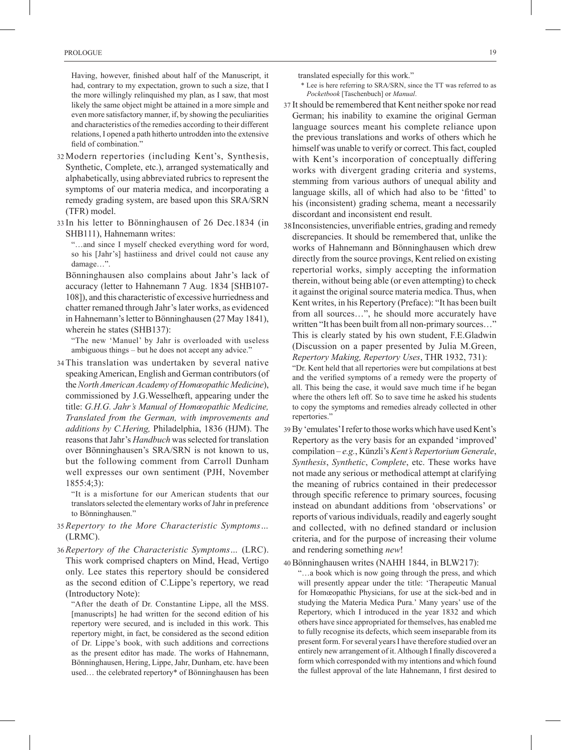Having, however, finished about half of the Manuscript, it had, contrary to my expectation, grown to such a size, that I the more willingly relinquished my plan, as I saw, that most likely the same object might be attained in a more simple and even more satisfactory manner, if, by showing the peculiarities and characteristics of the remedies according to their different relations, I opened a path hitherto untrodden into the extensive field of combination."

- 32 Modern repertories (including Kent's, Synthesis, Synthetic, Complete, etc.), arranged systematically and alphabetically, using abbreviated rubrics to represent the symptoms of our materia medica, and incorporating a remedy grading system, are based upon this SRA/SRN (TFR) model.
- 33 In his letter to Bönninghausen of 26 Dec.1834 (in SHB111), Hahnemann writes:

"…and since I myself checked everything word for word, so his [Jahr's] hastiiness and drivel could not cause any damage…".

Bönninghausen also complains about Jahr's lack of accuracy (letter to Hahnemann 7 Aug. 1834 [SHB107- 108]), and this characteristic of excessive hurriedness and chatter remaned through Jahr's later works, as evidenced in Hahnemann's letter to Bönninghausen (27 May 1841), wherein he states (SHB137):

"The new 'Manuel' by Jahr is overloaded with useless ambiguous things – but he does not accept any advice."

34 This translation was undertaken by several native speaking American, English and German contributors (of the *North American Academy of Homœopathic Medicine*), commissioned by J.G.Wesselhœft, appearing under the title: *G.H.G. Jahr's Manual of Homœopathic Medicine, Translated from the German, with improvements and additions by C.Hering,* Philadelphia, 1836 (HJM). The reasons that Jahr's *Handbuch* was selected for translation over Bönninghausen's SRA/SRN is not known to us, but the following comment from Carroll Dunham well expresses our own sentiment (PJH, November 1855:4;3):

"It is a misfortune for our American students that our translators selected the elementary works of Jahr in preference to Bönninghausen."

- 35 *Repertory to the More Characteristic Symptoms…*  (LRMC).
- 36 *Repertory of the Characteristic Symptoms…* (LRC). This work comprised chapters on Mind, Head, Vertigo only. Lee states this repertory should be considered as the second edition of C.Lippe's repertory, we read (Introductory Note):

"After the death of Dr. Constantine Lippe, all the MSS. [manuscripts] he had written for the second edition of his repertory were secured, and is included in this work. This repertory might, in fact, be considered as the second edition of Dr. Lippe's book, with such additions and corrections as the present editor has made. The works of Hahnemann, Bönninghausen, Hering, Lippe, Jahr, Dunham, etc. have been used… the celebrated repertory\* of Bönninghausen has been

translated especially for this work."

- \* Lee is here referring to SRA/SRN, since the TT was referred to as *Pocketbook* [Taschenbuch] or *Manual*.
- 37 It should be remembered that Kent neither spoke nor read German; his inability to examine the original German language sources meant his complete reliance upon the previous translations and works of others which he himself was unable to verify or correct. This fact, coupled with Kent's incorporation of conceptually differing works with divergent grading criteria and systems, stemming from various authors of unequal ability and language skills, all of which had also to be 'fitted' to his (inconsistent) grading schema, meant a necessarily discordant and inconsistent end result.
- 38Inconsistencies, unverifiable entries, grading and remedy discrepancies. It should be remembered that, unlike the works of Hahnemann and Bönninghausen which drew directly from the source provings, Kent relied on existing repertorial works, simply accepting the information therein, without being able (or even attempting) to check it against the original source materia medica. Thus, when Kent writes, in his Repertory (Preface): "It has been built from all sources…", he should more accurately have written "It has been built from all non-primary sources…" This is clearly stated by his own student, F.E.Gladwin (Discussion on a paper presented by Julia M.Green, *Repertory Making, Repertory Uses*, THR 1932, 731):

"Dr. Kent held that all repertories were but compilations at best and the verified symptoms of a remedy were the property of all. This being the case, it would save much time if he began where the others left off. So to save time he asked his students to copy the symptoms and remedies already collected in other repertories."

39By 'emulates' I refer to those works which have used Kent's Repertory as the very basis for an expanded 'improved' compilation – *e.g.*, Künzli's *Kent's Repertorium Generale*, *Synthesis*, *Synthetic*, *Complete*, etc. These works have not made any serious or methodical attempt at clarifying the meaning of rubrics contained in their predecessor through specific reference to primary sources, focusing instead on abundant additions from 'observations' or reports of various individuals, readily and eagerly sought and collected, with no defined standard or inclusion criteria, and for the purpose of increasing their volume and rendering something *new*!

40 Bönninghausen writes (NAHH 1844, in BLW217):

"…a book which is now going through the press, and which will presently appear under the title: 'Therapeutic Manual for Homœopathic Physicians, for use at the sick-bed and in studying the Materia Medica Pura.' Many years' use of the Repertory, which I introduced in the year 1832 and which others have since appropriated for themselves, has enabled me to fully recognise its defects, which seem inseparable from its present form. For several years I have therefore studied over an entirely new arrangement of it. Although I finally discovered a form which corresponded with my intentions and which found the fullest approval of the late Hahnemann, I first desired to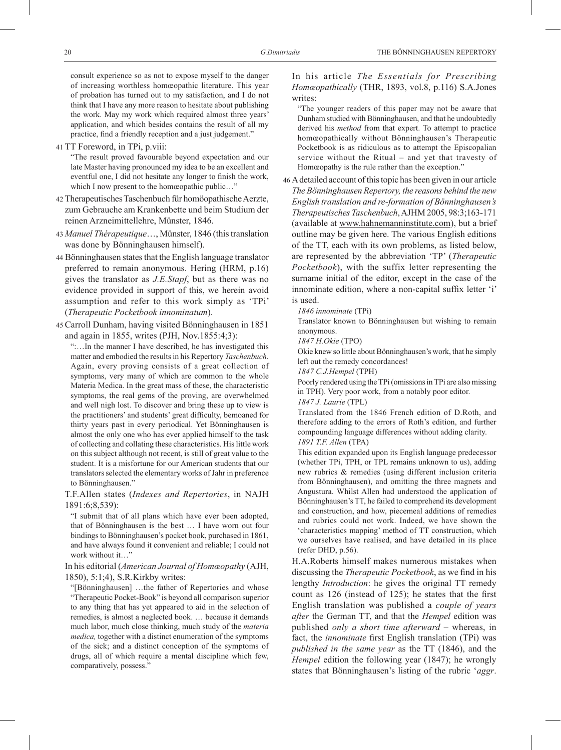consult experience so as not to expose myself to the danger of increasing worthless homœopathic literature. This year of probation has turned out to my satisfaction, and I do not think that I have any more reason to hesitate about publishing the work. May my work which required almost three years' application, and which besides contains the result of all my practice, find a friendly reception and a just judgement."

41 TT Foreword, in TPi, p.viii:

"The result proved favourable beyond expectation and our late Master having pronounced my idea to be an excellent and eventful one, I did not hesitate any longer to finish the work, which I now present to the homœopathic public..."

- 42 TherapeutischesTaschenbuch für homöopathische Aerzte, zum Gebrauche am Krankenbette und beim Studium der reinen Arzneimittellehre, Münster, 1846.
- 43 *Manuel Thérapeutique*…, Münster, 1846 (this translation was done by Bönninghausen himself).
- 44 Bönninghausen states that the English language translator preferred to remain anonymous. Hering (HRM, p.16) gives the translator as *J.E.Stapf*, but as there was no evidence provided in support of this, we herein avoid assumption and refer to this work simply as 'TPi' (*Therapeutic Pocketbook innominatum*).
- 45 Carroll Dunham, having visited Bönninghausen in 1851 and again in 1855, writes (PJH, Nov.1855:4;3):

":…In the manner I have described, he has investigated this matter and embodied the results in his Repertory *Taschenbuch*. Again, every proving consists of a great collection of symptoms, very many of which are common to the whole Materia Medica. In the great mass of these, the characteristic symptoms, the real gems of the proving, are overwhelmed and well nigh lost. To discover and bring these up to view is the practitioners' and students' great difficulty, bemoaned for thirty years past in every periodical. Yet Bönninghausen is almost the only one who has ever applied himself to the task of collecting and collating these characteristics. His little work on this subject although not recent, is still of great value to the student. It is a misfortune for our American students that our translators selected the elementary works of Jahr in preference to Bönninghausen."

T.F.Allen states (*Indexes and Repertories*, in NAJH 1891:6;8,539):

"I submit that of all plans which have ever been adopted, that of Bönninghausen is the best … I have worn out four bindings to Bönninghausen's pocket book, purchased in 1861, and have always found it convenient and reliable; I could not work without it…"

 In his editorial (*American Journal of Homœopathy* (AJH, 1850), 5:1;4), S.R.Kirkby writes:

"[Bönninghausen] …the father of Repertories and whose "Therapeutic Pocket-Book" is beyond all comparison superior to any thing that has yet appeared to aid in the selection of remedies, is almost a neglected book. … because it demands much labor, much close thinking, much study of the *materia medica,* together with a distinct enumeration of the symptoms of the sick; and a distinct conception of the symptoms of drugs, all of which require a mental discipline which few, comparatively, possess."

 In his article *The Essentials for Prescribing Homœopathically* (THR, 1893, vol.8, p.116) S.A.Jones writes:

"The younger readers of this paper may not be aware that Dunham studied with Bönninghausen, and that he undoubtedly derived his *method* from that expert. To attempt to practice homœopathically without Bönninghausen's Therapeutic Pocketbook is as ridiculous as to attempt the Episcopalian service without the Ritual – and yet that travesty of Homœopathy is the rule rather than the exception."

46 A detailed account of this topic has been given in our article *The Bönninghausen Repertory, the reasons behind the new English translation and re-formation of Bönninghausen's Therapeutisches Taschenbuch*, AJHM 2005, 98:3;163-171 (available at www.hahnemanninstitute.com), but a brief outline may be given here. The various English editions of the TT, each with its own problems, as listed below, are represented by the abbreviation 'TP' (*Therapeutic Pocketbook*), with the suffix letter representing the surname initial of the editor, except in the case of the innominate edition, where a non-capital suffix letter 'i' is used.

*1846 innominate* (TPi)

Translator known to Bönninghausen but wishing to remain anonymous.

*1847 H.Okie* (TPO)

Okie knew so little about Bönninghausen's work, that he simply left out the remedy concordances!

*1847 C.J.Hempel* (TPH)

Poorly rendered using the TPi (omissions in TPi are also missing in TPH). Very poor work, from a notably poor editor.

*1847 J. Laurie* (TPL)

Translated from the 1846 French edition of D.Roth, and therefore adding to the errors of Roth's edition, and further compounding language differences without adding clarity. *1891 T.F. Allen* (TPA)

This edition expanded upon its English language predecessor (whether TPi, TPH, or TPL remains unknown to us), adding new rubrics & remedies (using different inclusion criteria from Bönninghausen), and omitting the three magnets and Angustura. Whilst Allen had understood the application of Bönninghausen's TT, he failed to comprehend its development and construction, and how, piecemeal additions of remedies and rubrics could not work. Indeed, we have shown the 'characteristics mapping' method of TT construction, which we ourselves have realised, and have detailed in its place (refer DHD, p.56).

H.A.Roberts himself makes numerous mistakes when discussing the *Therapeutic Pocketbook*, as we find in his lengthy *Introduction*: he gives the original TT remedy count as 126 (instead of 125); he states that the first English translation was published a *couple of years after* the German TT, and that the *Hempel* edition was published *only a short time afterward* – whereas, in fact, the *innominate* first English translation (TPi) was *published in the same year* as the TT (1846), and the *Hempel* edition the following year (1847); he wrongly states that Bönninghausen's listing of the rubric '*aggr*.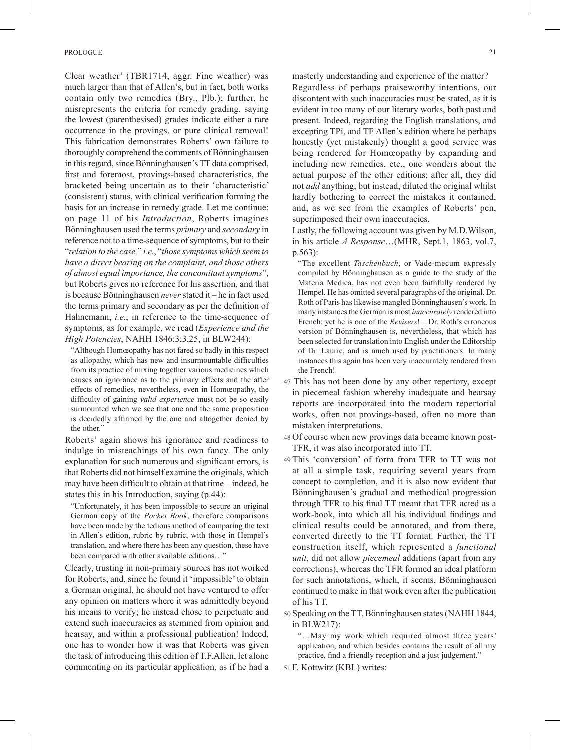Clear weather' (TBR1714, aggr. Fine weather) was much larger than that of Allen's, but in fact, both works contain only two remedies (Bry., Plb.); further, he misrepresents the criteria for remedy grading, saying the lowest (parenthesised) grades indicate either a rare occurrence in the provings, or pure clinical removal! This fabrication demonstrates Roberts' own failure to thoroughly comprehend the comments of Bönninghausen in this regard, since Bönninghausen's TT data comprised, first and foremost, provings-based characteristics, the bracketed being uncertain as to their 'characteristic' (consistent) status, with clinical verification forming the basis for an increase in remedy grade. Let me continue: on page 11 of his *Introduction*, Roberts imagines Bönninghausen used the terms *primary* and *secondary* in reference not to a time-sequence of symptoms, but to their "*relation to the case,*" *i.e.*, "*those symptoms which seem to have a direct bearing on the complaint, and those others of almost equal importance, the concomitant symptoms*", but Roberts gives no reference for his assertion, and that is because Bönninghausen *never* stated it – he in fact used the terms primary and secondary as per the definition of Hahnemann, *i.e.*, in reference to the time-sequence of symptoms, as for example, we read (*Experience and the High Potencies*, NAHH 1846:3;3,25, in BLW244):

"Although Homœopathy has not fared so badly in this respect as allopathy, which has new and insurmountable difficulties from its practice of mixing together various medicines which causes an ignorance as to the primary effects and the after effects of remedies, nevertheless, even in Homœopathy, the difficulty of gaining *valid experience* must not be so easily surmounted when we see that one and the same proposition is decidedly affirmed by the one and altogether denied by the other."

Roberts' again shows his ignorance and readiness to indulge in misteachings of his own fancy. The only explanation for such numerous and significant errors, is that Roberts did not himself examine the originals, which may have been difficult to obtain at that time – indeed, he states this in his Introduction, saying (p.44):

"Unfortunately, it has been impossible to secure an original German copy of the *Pocket Book*, therefore comparisons have been made by the tedious method of comparing the text in Allen's edition, rubric by rubric, with those in Hempel's translation, and where there has been any question, these have been compared with other available editions…"

Clearly, trusting in non-primary sources has not worked for Roberts, and, since he found it 'impossible' to obtain a German original, he should not have ventured to offer any opinion on matters where it was admittedly beyond his means to verify; he instead chose to perpetuate and extend such inaccuracies as stemmed from opinion and hearsay, and within a professional publication! Indeed, one has to wonder how it was that Roberts was given the task of introducing this edition of T.F.Allen, let alone commenting on its particular application, as if he had a

masterly understanding and experience of the matter? Regardless of perhaps praiseworthy intentions, our discontent with such inaccuracies must be stated, as it is evident in too many of our literary works, both past and present. Indeed, regarding the English translations, and excepting TPi, and TF Allen's edition where he perhaps honestly (yet mistakenly) thought a good service was being rendered for Homœopathy by expanding and including new remedies, etc., one wonders about the actual purpose of the other editions; after all, they did not *add* anything, but instead, diluted the original whilst hardly bothering to correct the mistakes it contained, and, as we see from the examples of Roberts' pen, superimposed their own inaccuracies.

Lastly, the following account was given by M.D.Wilson, in his article *A Response*…(MHR, Sept.1, 1863, vol.7, p.563):

"The excellent *Taschenbuch*, or Vade-mecum expressly compiled by Bönninghausen as a guide to the study of the Materia Medica, has not even been faithfully rendered by Hempel. He has omitted several paragraphs of the original. Dr. Roth of Paris has likewise mangled Bönninghausen's work. In many instances the German is most *inaccurately* rendered into French: yet he is one of the *Revisers*!... Dr. Roth's erroneous version of Bönninghausen is, nevertheless, that which has been selected for translation into English under the Editorship of Dr. Laurie, and is much used by practitioners. In many instances this again has been very inaccurately rendered from the French!

- 47 This has not been done by any other repertory, except in piecemeal fashion whereby inadequate and hearsay reports are incorporated into the modern repertorial works, often not provings-based, often no more than mistaken interpretations.
- 48 Of course when new provings data became known post-TFR, it was also incorporated into TT.
- 49 This 'conversion' of form from TFR to TT was not at all a simple task, requiring several years from concept to completion, and it is also now evident that Bönninghausen's gradual and methodical progression through TFR to his final TT meant that TFR acted as a work-book, into which all his individual findings and clinical results could be annotated, and from there, converted directly to the TT format. Further, the TT construction itself, which represented a *functional unit*, did not allow *piecemeal* additions (apart from any corrections), whereas the TFR formed an ideal platform for such annotations, which, it seems, Bönninghausen continued to make in that work even after the publication of his TT.
- 50 Speaking on the TT, Bönninghausen states (NAHH 1844, in BLW217):

"…May my work which required almost three years' application, and which besides contains the result of all my practice, find a friendly reception and a just judgement."

51 F. Kottwitz (KBL) writes: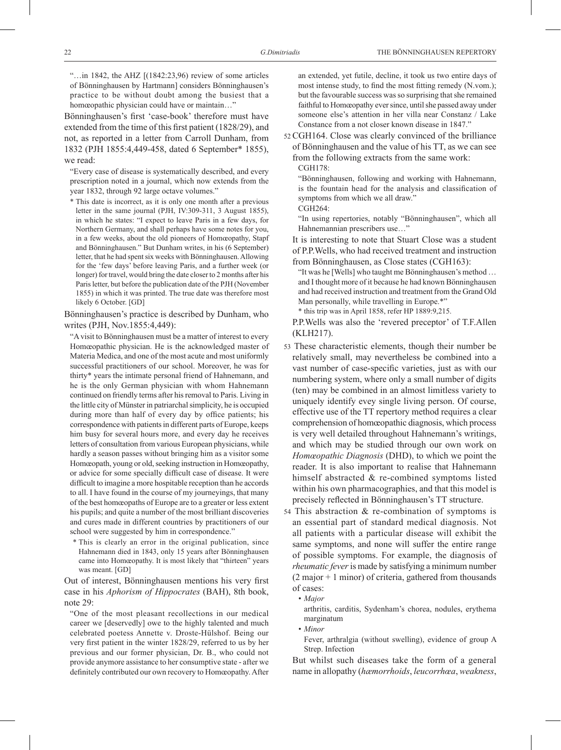"... in 1842, the AHZ  $[(1842:23.96)$  review of some articles of Bönninghausen by Hartmann] considers Bönninghausen's practice to be without doubt among the busiest that a homœopathic physician could have or maintain…"

Bönninghausen's first 'case-book' therefore must have extended from the time of this first patient (1828/29), and not, as reported in a letter from Carroll Dunham, from 1832 (PJH 1855:4,449-458, dated 6 September\* 1855), we read:

"Every case of disease is systematically described, and every prescription noted in a journal, which now extends from the year 1832, through 92 large octave volumes."

\* This date is incorrect, as it is only one month after a previous letter in the same journal (PJH, IV:309-311, 3 August 1855). in which he states: "I expect to leave Paris in a few days, for Northern Germany, and shall perhaps have some notes for you, in a few weeks, about the old pioneers of Homœopathy, Stapf and Bönninghausen." But Dunham writes, in his (6 September) letter, that he had spent six weeks with Bönninghausen. Allowing for the 'few days' before leaving Paris, and a further week (or longer) for travel, would bring the date closer to 2 months after his Paris letter, but before the publication date of the PJH (November 1855) in which it was printed. The true date was therefore most likely 6 October. [GD]

Bönninghausen's practice is described by Dunham, who writes (PJH, Nov.1855:4,449):

"A visit to Bönninghausen must be a matter of interest to every Homœopathic physician. He is the acknowledged master of Materia Medica, and one of the most acute and most uniformly successful practitioners of our school. Moreover, he was for thirty\* years the intimate personal friend of Hahnemann, and he is the only German physician with whom Hahnemann continued on friendly terms after his removal to Paris. Living in the little city of Münster in patriarchal simplicity, he is occupied during more than half of every day by office patients; his correspondence with patients in different parts of Europe, keeps him busy for several hours more, and every day he receives letters of consultation from various European physicians, while hardly a season passes without bringing him as a visitor some Homœopath, young or old, seeking instruction in Homœopathy, or advice for some specially difficult case of disease. It were difficult to imagine a more hospitable reception than he accords to all. I have found in the course of my journeyings, that many of the best homœopaths of Europe are to a greater or less extent his pupils; and quite a number of the most brilliant discoveries and cures made in different countries by practitioners of our school were suggested by him in correspondence."

\* This is clearly an error in the original publication, since Hahnemann died in 1843, only 15 years after Bönninghausen came into Homœopathy. It is most likely that "thirteen" years was meant. [GD]

Out of interest, Bönninghausen mentions his very first case in his *Aphorism of Hippocrates* (BAH), 8th book, note 29:

"One of the most pleasant recollections in our medical career we [deservedly] owe to the highly talented and much celebrated poetess Annette v. Droste-Hülshof. Being our very first patient in the winter 1828/29, referred to us by her previous and our former physician, Dr. B., who could not provide anymore assistance to her consumptive state - after we definitely contributed our own recovery to Homœopathy. After

an extended, yet futile, decline, it took us two entire days of most intense study, to find the most fitting remedy (N.vom.); but the favourable success was so surprising that she remained faithful to Homœopathy ever since, until she passed away under someone else's attention in her villa near Constanz / Lake Constance from a not closer known disease in 1847."

52 CGH164. Close was clearly convinced of the brilliance of Bönninghausen and the value of his TT, as we can see from the following extracts from the same work:

CGH178:

"Bönninghausen, following and working with Hahnemann, is the fountain head for the analysis and classification of symptoms from which we all draw." CGH264:

"In using repertories, notably "Bönninghausen", which all Hahnemannian prescribers use…"

 It is interesting to note that Stuart Close was a student of P.P.Wells, who had received treatment and instruction from Bönninghausen, as Close states (CGH163):

"It was he [Wells] who taught me Bönninghausen's method … and I thought more of it because he had known Bönninghausen and had received instruction and treatment from the Grand Old Man personally, while travelling in Europe.\*" \* this trip was in April 1858, refer HP 1889:9,215.

P.P.Wells was also the 'revered preceptor' of T.F.Allen (KLH217).

53 These characteristic elements, though their number be relatively small, may nevertheless be combined into a vast number of case-specific varieties, just as with our numbering system, where only a small number of digits (ten) may be combined in an almost limitless variety to uniquely identify evey single living person. Of course, effective use of the TT repertory method requires a clear comprehension of homœopathic diagnosis, which process is very well detailed throughout Hahnemann's writings, and which may be studied through our own work on *Homœopathic Diagnosis* (DHD), to which we point the reader. It is also important to realise that Hahnemann himself abstracted & re-combined symptoms listed within his own pharmacographies, and that this model is precisely reflected in Bönninghausen's TT structure.

54 This abstraction & re-combination of symptoms is an essential part of standard medical diagnosis. Not all patients with a particular disease will exhibit the same symptoms, and none will suffer the entire range of possible symptoms. For example, the diagnosis of *rheumatic fever* is made by satisfying a minimum number  $(2 \text{ major} + 1 \text{ minor})$  of criteria, gathered from thousands of cases:

*• Major*

arthritis, carditis, Sydenham's chorea, nodules, erythema marginatum

*• Minor*

Fever, arthralgia (without swelling), evidence of group A Strep. Infection

But whilst such diseases take the form of a general name in allopathy (*hæmorrhoids*, *leucorrhœa*, *weakness*,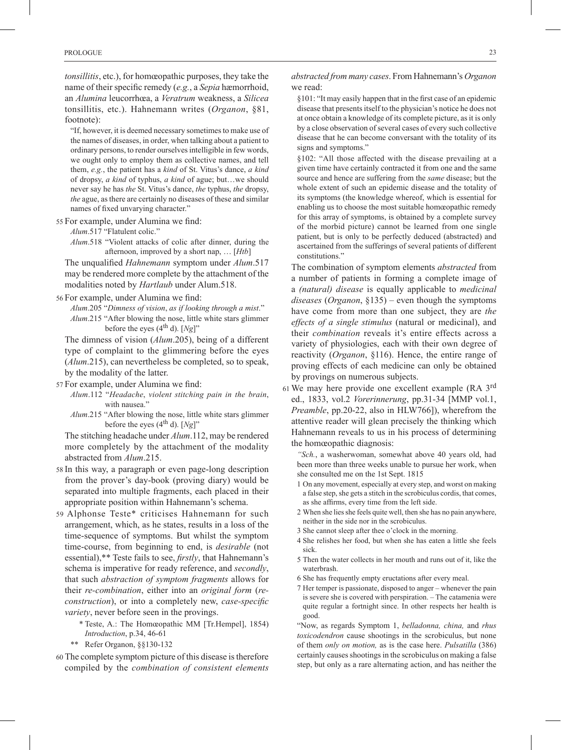*tonsillitis*, etc.), for homœopathic purposes, they take the name of their specific remedy (*e.g.*, a *Sepia* hæmorrhoid, an *Alumina* leucorrhœa, a *Veratrum* weakness, a *Silicea* tonsillitis, etc.). Hahnemann writes (*Organon*, §81, footnote):

"If, however, it is deemed necessary sometimes to make use of the names of diseases, in order, when talking about a patient to ordinary persons, to render ourselves intelligible in few words, we ought only to employ them as collective names, and tell them, *e.g.*, the patient has a *kind* of St. Vitus's dance, *a kind* of dropsy, *a kind* of typhus, *a kind* of ague; but…we should never say he has *the* St. Vitus's dance, *the* typhus, *the* dropsy, *the* ague, as there are certainly no diseases of these and similar names of fixed unvarying character."

#### 55 For example, under Alumina we find:

*Alum*.517 "Flatulent colic."

*Alum*.518 "Violent attacks of colic after dinner, during the afternoon, improved by a short nap, … [*Htb*]

The unqualified *Hahnemann* symptom under *Alum*.517 may be rendered more complete by the attachment of the modalities noted by *Hartlaub* under Alum.518.

56 For example, under Alumina we find:

*Alum*.205 "*Dimness of vision*, *as if looking through a mist*." *Alum*.215 "After blowing the nose, little white stars glimmer before the eyes  $(4<sup>th</sup> d)$ .  $[Ng]$ "

The dimness of vision (*Alum*.205), being of a different type of complaint to the glimmering before the eyes (*Alum*.215), can nevertheless be completed, so to speak, by the modality of the latter.

- 57 For example, under Alumina we find:
	- *Alum*.112 "*Headache*, *violent stitching pain in the brain*, with nausea.'
	- *Alum*.215 "After blowing the nose, little white stars glimmer before the eyes (4th d). [*Ng*]"

The stitching headache under *Alum*.112, may be rendered more completely by the attachment of the modality abstracted from *Alum*.215.

- 58 In this way, a paragraph or even page-long description from the prover's day-book (proving diary) would be separated into multiple fragments, each placed in their appropriate position within Hahnemann's schema.
- 59 Alphonse Teste\* criticises Hahnemann for such arrangement, which, as he states, results in a loss of the time-sequence of symptoms. But whilst the symptom time-course, from beginning to end, is *desirable* (not essential),\*\* Teste fails to see, *firstly*, that Hahnemann's schema is imperative for ready reference, and *secondly*, that such *abstraction of symptom fragments* allows for their *re-combination*, either into an *original form* (*reconstruction*), or into a completely new, *case-specific variety*, never before seen in the provings.
	- \* Teste, A.: The Homœopathic MM [Tr.Hempel], 1854) *Introduction*, p.34, 46-61
	- \*\* Refer Organon, §§130-132
- 60 The complete symptom picture of this disease is therefore compiled by the *combination of consistent elements*

*abstracted from many cases*. From Hahnemann's *Organon* we read:

§101: "It may easily happen that in the first case of an epidemic disease that presents itself to the physician's notice he does not at once obtain a knowledge of its complete picture, as it is only by a close observation of several cases of every such collective disease that he can become conversant with the totality of its signs and symptoms."

§102: "All those affected with the disease prevailing at a given time have certainly contracted it from one and the same source and hence are suffering from the *same* disease; but the whole extent of such an epidemic disease and the totality of its symptoms (the knowledge whereof, which is essential for enabling us to choose the most suitable homœopathic remedy for this array of symptoms, is obtained by a complete survey of the morbid picture) cannot be learned from one single patient, but is only to be perfectly deduced (abstracted) and ascertained from the sufferings of several patients of different constitutions."

The combination of symptom elements *abstracted* from a number of patients in forming a complete image of a *(natural) disease* is equally applicable to *medicinal diseases* (*Organon*, §135) – even though the symptoms have come from more than one subject, they are *the effects of a single stimulus* (natural or medicinal), and their *combination* reveals it's entire effects across a variety of physiologies, each with their own degree of reactivity (*Organon*, §116). Hence, the entire range of proving effects of each medicine can only be obtained by provings on numerous subjects.

<sup>61</sup> We may here provide one excellent example (RA 3rd ed., 1833, vol.2 *Vorerinnerung*, pp.31-34 [MMP vol.1, *Preamble*, pp.20-22, also in HLW766]), wherefrom the attentive reader will glean precisely the thinking which Hahnemann reveals to us in his process of determining the homœopathic diagnosis:

*"Sch.*, a washerwoman, somewhat above 40 years old, had been more than three weeks unable to pursue her work, when she consulted me on the 1st Sept. 1815

- 1 On any movement, especially at every step, and worst on making a false step, she gets a stitch in the scrobiculus cordis, that comes, as she affirms, every time from the left side.
- 2 When she lies she feels quite well, then she has no pain anywhere, neither in the side nor in the scrobiculus.
- 3 She cannot sleep after thee o'clock in the morning.
- 4 She relishes her food, but when she has eaten a little she feels sick.
- 5 Then the water collects in her mouth and runs out of it, like the waterbrash.
- 6 She has frequently empty eructations after every meal.
- 7 Her temper is passionate, disposed to anger whenever the pain is severe she is covered with perspiration. – The catamenia were quite regular a fortnight since. In other respects her health is good.

"Now, as regards Symptom 1, *belladonna, china,* and *rhus toxicodendron* cause shootings in the scrobiculus, but none of them *only on motion,* as is the case here. *Pulsatilla* (386) certainly causes shootings in the scrobiculus on making a false step, but only as a rare alternating action, and has neither the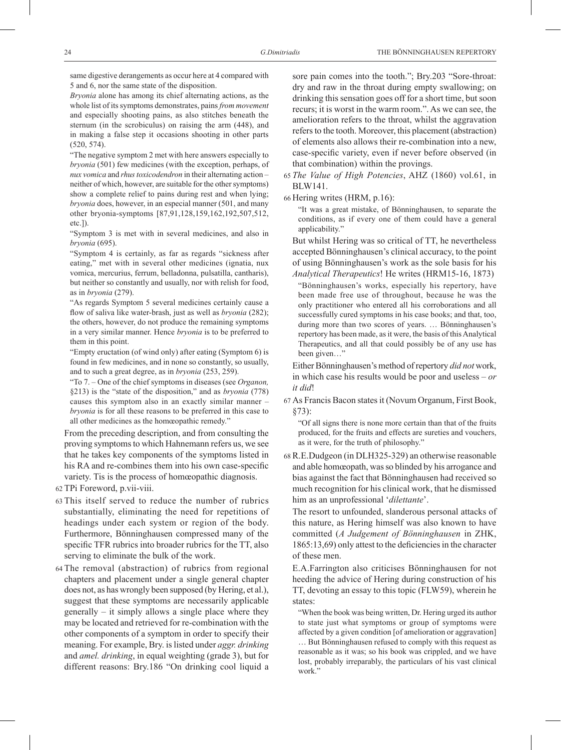same digestive derangements as occur here at 4 compared with 5 and 6, nor the same state of the disposition.

*Bryonia* alone has among its chief alternating actions, as the whole list of its symptoms demonstrates, pains *from movement* and especially shooting pains, as also stitches beneath the sternum (in the scrobiculus) on raising the arm (448), and in making a false step it occasions shooting in other parts (520, 574).

"The negative symptom 2 met with here answers especially to *bryonia* (501) few medicines (with the exception, perhaps, of *nux vomica* and *rhus toxicodendron* in their alternating action – neither of which, however, are suitable for the other symptoms) show a complete relief to pains during rest and when lying; *bryonia* does, however, in an especial manner (501, and many other bryonia-symptoms [87,91,128,159,162,192,507,512, etc.]).

"Symptom 3 is met with in several medicines, and also in *bryonia* (695).

"Symptom 4 is certainly, as far as regards "sickness after eating," met with in several other medicines (ignatia, nux vomica, mercurius, ferrum, belladonna, pulsatilla, cantharis), but neither so constantly and usually, nor with relish for food, as in *bryonia* (279).

"As regards Symptom 5 several medicines certainly cause a flow of saliva like water-brash, just as well as *bryonia* (282); the others, however, do not produce the remaining symptoms in a very similar manner. Hence *bryonia* is to be preferred to them in this point.

"Empty eructation (of wind only) after eating (Symptom 6) is found in few medicines, and in none so constantly, so usually, and to such a great degree, as in *bryonia* (253, 259).

"To 7. – One of the chief symptoms in diseases (see *Organon,*  §213) is the "state of the disposition," and as *bryonia* (778) causes this symptom also in an exactly similar manner – *bryonia* is for all these reasons to be preferred in this case to all other medicines as the homœopathic remedy."

From the preceding description, and from consulting the proving symptoms to which Hahnemann refers us, we see that he takes key components of the symptoms listed in his RA and re-combines them into his own case-specific variety. Tis is the process of homœopathic diagnosis.

62 TPi Foreword, p.vii-viii.

- 63 This itself served to reduce the number of rubrics substantially, eliminating the need for repetitions of headings under each system or region of the body. Furthermore, Bönninghausen compressed many of the specific TFR rubrics into broader rubrics for the TT, also serving to eliminate the bulk of the work.
- 64 The removal (abstraction) of rubrics from regional chapters and placement under a single general chapter does not, as has wrongly been supposed (by Hering, et al.), suggest that these symptoms are necessarily applicable generally – it simply allows a single place where they may be located and retrieved for re-combination with the other components of a symptom in order to specify their meaning. For example, Bry. is listed under *aggr. drinking* and *amel. drinking*, in equal weighting (grade 3), but for different reasons: Bry.186 "On drinking cool liquid a

sore pain comes into the tooth."; Bry.203 "Sore-throat: dry and raw in the throat during empty swallowing; on drinking this sensation goes off for a short time, but soon recurs; it is worst in the warm room.". As we can see, the amelioration refers to the throat, whilst the aggravation refers to the tooth. Moreover, this placement (abstraction) of elements also allows their re-combination into a new, case-specific variety, even if never before observed (in that combination) within the provings.

65 *The Value of High Potencies*, AHZ (1860) vol.61, in BLW141.

66 Hering writes (HRM, p.16):

"It was a great mistake, of Bönninghausen, to separate the conditions, as if every one of them could have a general applicability."

But whilst Hering was so critical of TT, he nevertheless accepted Bönninghausen's clinical accuracy, to the point of using Bönninghausen's work as the sole basis for his *Analytical Therapeutics*! He writes (HRM15-16, 1873)

"Bönninghausen's works, especially his repertory, have been made free use of throughout, because he was the only practitioner who entered all his corroborations and all successfully cured symptoms in his case books; and that, too, during more than two scores of years. … Bönninghausen's repertory has been made, as it were, the basis of this Analytical Therapeutics, and all that could possibly be of any use has been given…"

Either Bönninghausen's method of repertory *did not* work, in which case his results would be poor and useless – *or it did*!

67 As Francis Bacon states it (Novum Organum, First Book, §73):

"Of all signs there is none more certain than that of the fruits produced, for the fruits and effects are sureties and vouchers, as it were, for the truth of philosophy."

68 R.E.Dudgeon (in DLH325-329) an otherwise reasonable and able homœopath, was so blinded by his arrogance and bias against the fact that Bönninghausen had received so much recognition for his clinical work, that he dismissed him as an unprofessional '*dilettante*'.

The resort to unfounded, slanderous personal attacks of this nature, as Hering himself was also known to have committed (*A Judgement of Bönninghausen* in ZHK, 1865:13,69) only attest to the deficiencies in the character of these men.

E.A.Farrington also criticises Bönninghausen for not heeding the advice of Hering during construction of his TT, devoting an essay to this topic (FLW59), wherein he states:

"When the book was being written, Dr. Hering urged its author to state just what symptoms or group of symptoms were affected by a given condition [of amelioration or aggravation] … But Bönninghausen refused to comply with this request as reasonable as it was; so his book was crippled, and we have lost, probably irreparably, the particulars of his vast clinical work<sup>?</sup>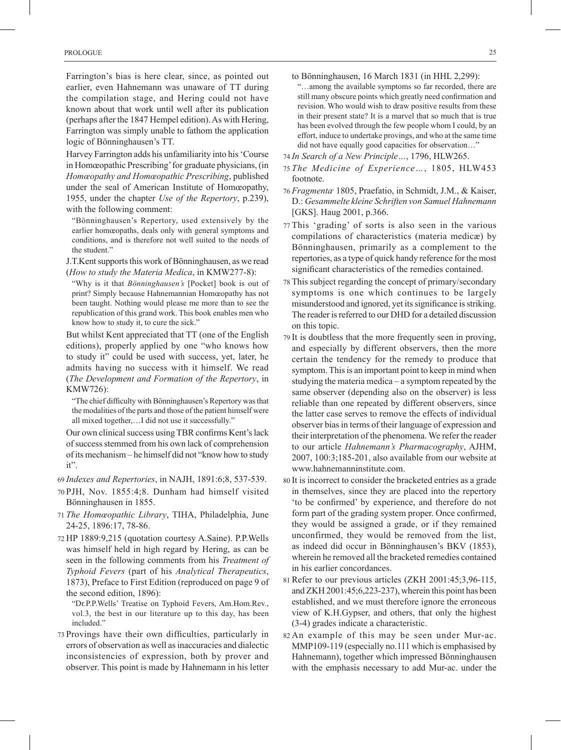Farrington's bias is here clear, since, as pointed out earlier, even Hahnemann was unaware of TT during the compilation stage, and Hering could not have known about that work until well after its publication (perhaps after the 1847 Hempel edition). As with Hering, Farrington was simply unable to fathom the application logic of Bönninghausen's TT.

Harvey Farrington adds his unfamiliarity into his 'Course in Homœopathic Prescribing' for graduate physicians, (in *Homœopathy and Homœopathic Prescribing*, published under the seal of American Institute of Homœopathy, 1955, under the chapter *Use of the Repertory*, p.239), with the following comment:

"Bönninghausen's Repertory, used extensively by the earlier homœopaths, deals only with general symptoms and conditions, and is therefore not well suited to the needs of the student."

J.T.Kent supports this work of Bönninghausen, as we read (*How to study the Materia Medica*, in KMW277-8):

"Why is it that *Bönninghausen's* [Pocket] book is out of print? Simply because Hahnemannian Homœopathy has not been taught. Nothing would please me more than to see the republication of this grand work. This book enables men who know how to study it, to cure the sick."

But whilst Kent appreciated that TT (one of the English editions), properly applied by one "who knows how to study it" could be used with success, yet, later, he admits having no success with it himself. We read (*The Development and Formation of the Repertory*, in KMW726):

"The chief difficulty with Bönninghausen's Repertory was that the modalities of the parts and those of the patient himself were all mixed together,…I did not use it successfully."

Our own clinical success using TBR confirms Kent's lack of success stemmed from his own lack of comprehension of its mechanism – he himself did not "know how to study it".

69 *Indexes and Repertories*, in NAJH, 1891:6;8, 537-539.

- 70 PJH, Nov. 1855:4;8. Dunham had himself visited Bönninghausen in 1855.
- 71 *The Homœopathic Library*, TIHA, Philadelphia, June 24-25, 1896:17, 78-86.
- 72 HP 1889:9,215 (quotation courtesy A.Saine). P.P.Wells was himself held in high regard by Hering, as can be seen in the following comments from his *Treatment of Typhoid Fevers* (part of his *Analytical Therapeutics*, 1873), Preface to First Edition (reproduced on page 9 of the second edition, 1896):

"Dr.P.P.Wells' Treatise on Typhoid Fevers, Am.Hom.Rev., vol.3, the best in our literature up to this day, has been included."

73 Provings have their own difficulties, particularly in errors of observation as well as inaccuracies and dialectic inconsistencies of expression, both by prover and observer. This point is made by Hahnemann in his letter

- to Bönninghausen, 16 March 1831 (in HHL 2,299): "…among the available symptoms so far recorded, there are still many obscure points which greatly need confirmation and revision. Who would wish to draw positive results from these in their present state? It is a marvel that so much that is true has been evolved through the few people whom I could, by an effort, induce to undertake provings, and who at the same time did not have equally good capacities for observation…"
- 74 *In Search of a New Principle…*, 1796, HLW265.
- 75 *The Medicine of Experience…*, 1805, HLW453 footnote.
- <sup>76</sup> *Fragmenta,* 1805, Praefatio, in Schmidt, J.M., & Kaiser, D.: *Gesammelte kleine Schriften von Samuel Hahnemann* [GKS]. Haug 2001, p.366.
- 77 This 'grading' of sorts is also seen in the various compilations of characteristics (materia medicæ) by Bönninghausen, primarily as a complement to the repertories, as a type of quick handy reference for the most significant characteristics of the remedies contained.
- 78 This subject regarding the concept of primary/secondary symptoms is one which continues to be largely misunderstood and ignored, yet its significance is striking. The reader is referred to our DHD for a detailed discussion on this topic.
- 79 It is doubtless that the more frequently seen in proving, and especially by different observers, then the more certain the tendency for the remedy to produce that symptom. This is an important point to keep in mind when studying the materia medica – a symptom repeated by the same observer (depending also on the observer) is less reliable than one repeated by different observers, since the latter case serves to remove the effects of individual observer bias in terms of their language of expression and their interpretation of the phenomena. We refer the reader to our article *Hahnemann's Pharmacography*, AJHM, 2007, 100:3;185-201, also available from our website at www.hahnemanninstitute.com.
- 80 It is incorrect to consider the bracketed entries as a grade in themselves, since they are placed into the repertory 'to be confirmed' by experience, and therefore do not form part of the grading system proper. Once confirmed, they would be assigned a grade, or if they remained unconfirmed, they would be removed from the list, as indeed did occur in Bönninghausen's BKV (1853), wherein he removed all the bracketed remedies contained in his earlier concordances.
- 81 Refer to our previous articles (ZKH 2001:45;3,96-115, and ZKH 2001:45;6,223-237), wherein this point has been established, and we must therefore ignore the erroneous view of K.H.Gypser, and others, that only the highest (3-4) grades indicate a characteristic.
- 82 An example of this may be seen under Mur-ac. MMP109-119 (especially no.111 which is emphasised by Hahnemann), together which impressed Bönninghausen with the emphasis necessary to add Mur-ac. under the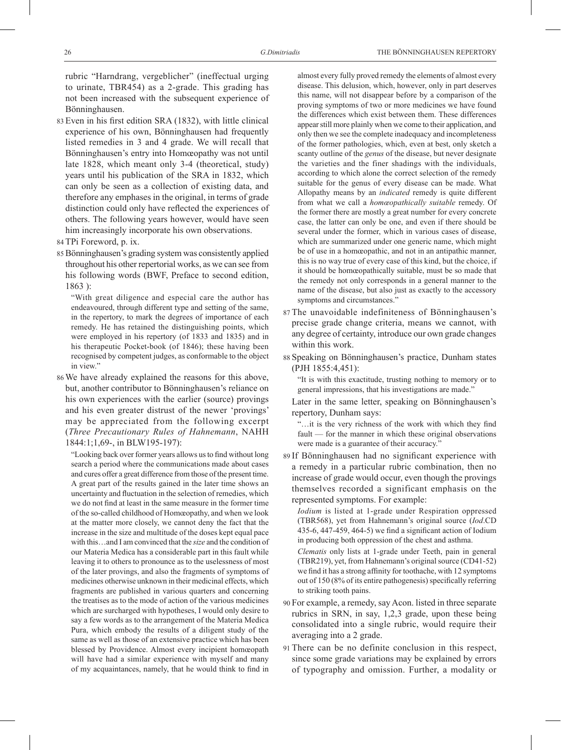rubric "Harndrang, vergeblicher" (ineffectual urging to urinate, TBR454) as a 2-grade. This grading has not been increased with the subsequent experience of Bönninghausen.

- 83 Even in his first edition SRA (1832), with little clinical experience of his own, Bönninghausen had frequently listed remedies in 3 and 4 grade. We will recall that Bönninghausen's entry into Homœopathy was not until late 1828, which meant only 3-4 (theoretical, study) years until his publication of the SRA in 1832, which can only be seen as a collection of existing data, and therefore any emphases in the original, in terms of grade distinction could only have reflected the experiences of others. The following years however, would have seen him increasingly incorporate his own observations.
- 84 TPi Foreword, p. ix.
- 85 Bönninghausen's grading system was consistently applied throughout his other repertorial works, as we can see from his following words (BWF, Preface to second edition, 1863 ):

"With great diligence and especial care the author has endeavoured, through different type and setting of the same, in the repertory, to mark the degrees of importance of each remedy. He has retained the distinguishing points, which were employed in his repertory (of 1833 and 1835) and in his therapeutic Pocket-book (of 1846); these having been recognised by competent judges, as conformable to the object in view."

86 We have already explained the reasons for this above, but, another contributor to Bönninghausen's reliance on his own experiences with the earlier (source) provings and his even greater distrust of the newer 'provings' may be appreciated from the following excerpt (*Three Precautionary Rules of Hahnemann*, NAHH 1844:1;1,69-, in BLW195-197):

"Looking back over former years allows us to find without long search a period where the communications made about cases and cures offer a great difference from those of the present time. A great part of the results gained in the later time shows an uncertainty and fluctuation in the selection of remedies, which we do not find at least in the same measure in the former time of the so-called childhood of Homœopathy, and when we look at the matter more closely, we cannot deny the fact that the increase in the size and multitude of the doses kept equal pace with this…and I am convinced that the *size* and the condition of our Materia Medica has a considerable part in this fault while leaving it to others to pronounce as to the uselessness of most of the later provings, and also the fragments of symptoms of medicines otherwise unknown in their medicinal effects, which fragments are published in various quarters and concerning the treatises as to the mode of action of the various medicines which are surcharged with hypotheses, I would only desire to say a few words as to the arrangement of the Materia Medica Pura, which embody the results of a diligent study of the same as well as those of an extensive practice which has been blessed by Providence. Almost every incipient homœopath will have had a similar experience with myself and many of my acquaintances, namely, that he would think to find in

almost every fully proved remedy the elements of almost every disease. This delusion, which, however, only in part deserves this name, will not disappear before by a comparison of the proving symptoms of two or more medicines we have found the differences which exist between them. These differences appear still more plainly when we come to their application, and only then we see the complete inadequacy and incompleteness of the former pathologies, which, even at best, only sketch a scanty outline of the *genus* of the disease, but never designate the varieties and the finer shadings with the individuals, according to which alone the correct selection of the remedy suitable for the genus of every disease can be made. What Allopathy means by an *indicated* remedy is quite different from what we call a *homœopathically suitable* remedy. Of the former there are mostly a great number for every concrete case, the latter can only be one, and even if there should be several under the former, which in various cases of disease, which are summarized under one generic name, which might be of use in a homœopathic, and not in an antipathic manner, this is no way true of every case of this kind, but the choice, if it should be homœopathically suitable, must be so made that the remedy not only corresponds in a general manner to the name of the disease, but also just as exactly to the accessory symptoms and circumstances.

- 87 The unavoidable indefiniteness of Bönninghausen's precise grade change criteria, means we cannot, with any degree of certainty, introduce our own grade changes within this work.
- 88 Speaking on Bönninghausen's practice, Dunham states (PJH 1855:4,451):

"It is with this exactitude, trusting nothing to memory or to general impressions, that his investigations are made."

Later in the same letter, speaking on Bönninghausen's repertory, Dunham says:

"…it is the very richness of the work with which they find fault — for the manner in which these original observations were made is a guarantee of their accuracy."

89 If Bönninghausen had no significant experience with a remedy in a particular rubric combination, then no increase of grade would occur, even though the provings themselves recorded a significant emphasis on the represented symptoms. For example:

*Iodium* is listed at 1-grade under Respiration oppressed (TBR568), yet from Hahnemann's original source (*Iod*.CD 435-6, 447-459, 464-5) we find a significant action of Iodium in producing both oppression of the chest and asthma.

*Clematis* only lists at 1-grade under Teeth, pain in general (TBR219), yet, from Hahnemann's original source (CD41-52) we find it has a strong affinity for toothache, with 12 symptoms out of 150 (8% of its entire pathogenesis) specifically referring to striking tooth pains.

- 90 For example, a remedy, say Acon. listed in three separate rubrics in SRN, in say, 1,2,3 grade, upon these being consolidated into a single rubric, would require their averaging into a 2 grade.
- 91 There can be no definite conclusion in this respect, since some grade variations may be explained by errors of typography and omission. Further, a modality or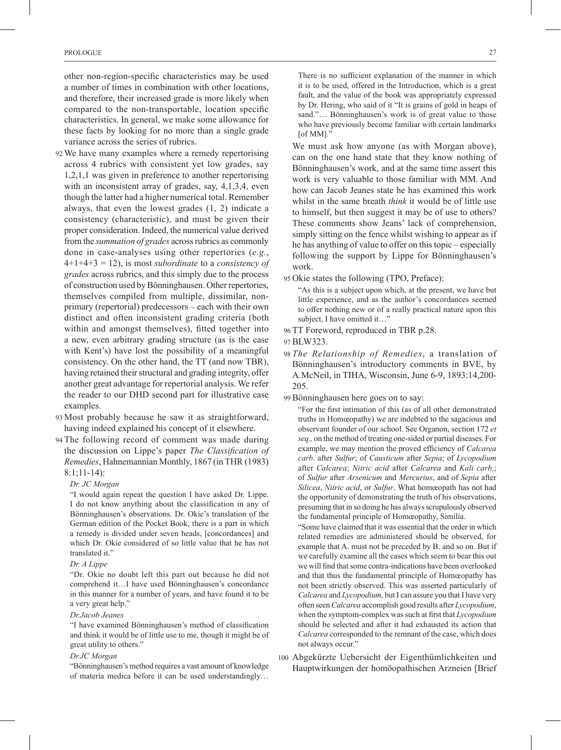other non-region-specific characteristics may be used a number of times in combination with other locations, and therefore, their increased grade is more likely when compared to the non-transportable, location specific characteristics. In general, we make some allowance for these facts by looking for no more than a single grade variance across the series of rubrics.

- 92 We have many examples where a remedy repertorising across 4 rubrics with consistent yet low grades, say 1,2,1,1 was given in preference to another repertorising with an inconsistent array of grades, say, 4,1,3,4, even though the latter had a higher numerical total. Remember always, that even the lowest grades (1, 2) indicate a consistency (characteristic), and must be given their proper consideration. Indeed, the numerical value derived from the *summation of grades* across rubrics as commonly done in case-analyses using other repertories (*e.g.*, 4+1+4+3 = 12), is most *subordinate* to a *consistency of grades* across rubrics, and this simply due to the process of construction used by Bönninghausen. Other repertories, themselves compiled from multiple, dissimilar, nonprimary (repertorial) predecessors – each with their own distinct and often inconsistent grading criteria (both within and amongst themselves), fitted together into a new, even arbitrary grading structure (as is the case with Kent's) have lost the possibility of a meaningful consistency. On the other hand, the TT (and now TBR), having retained their structural and grading integrity, offer another great advantage for repertorial analysis. We refer the reader to our DHD second part for illustrative case examples.
- 93 Most probably because he saw it as straightforward, having indeed explained his concept of it elsewhere.
- 94 The following record of comment was made during the discussion on Lippe's paper *The Classification of Remedies*, Hahnemannian Monthly, 1867 (in THR (1983) 8:1;11-14):
	- *Dr. JC Morgan*

"I would again repeat the question I have asked Dr. Lippe. I do not know anything about the classification in any of Bönninghausen's observations. Dr. Okie's translation of the German edition of the Pocket Book, there is a part in which a remedy is divided under seven heads, [concordances] and which Dr. Okie considered of so little value that he has not translated it."

#### *Dr. A Lippe*

"Dr. Okie no doubt left this part out because he did not comprehend it…I have used Bönninghausen's concordance in this manner for a number of years, and have found it to be a very great help."

#### *Dr.Jacob Jeanes*

"I have examined Bönninghausen's method of classification and think it would be of little use to me, though it might be of great utility to others."

#### *Dr.JC Morgan*

"Bönninghausen's method requires a vast amount of knowledge of materia medica before it can be used understandingly…

We must ask how anyone (as with Morgan above), can on the one hand state that they know nothing of Bönninghausen's work, and at the same time assert this work is very valuable to those familiar with MM. And how can Jacob Jeanes state he has examined this work whilst in the same breath *think* it would be of little use to himself, but then suggest it may be of use to others? These comments show Jeans' lack of comprehension, simply sitting on the fence whilst wishing to appear as if he has anything of value to offer on this topic – especially following the support by Lippe for Bönninghausen's work.

- 95 Okie states the following (TPO, Preface):
	- "As this is a subject upon which, at the present, we have but little experience, and as the author's concordances seemed to offer nothing new or of a really practical nature upon this subject, I have omitted it..."
- 96 TT Foreword, reproduced in TBR p.28.
- 97 BLW323.
- 98 *The Relationship of Remedies*, a translation of Bönninghausen's introductory comments in BVE, by A.McNeil, in TIHA, Wisconsin, June 6-9, 1893:14,200- 205.
- 99 Bönninghausen here goes on to say:

"For the first intimation of this (as of all other demonstrated truths in Homœopathy) we are indebted to the sagacious and observant founder of our school. See Organon, section 172 *et seq.,* on the method of treating one-sided or partial diseases. For example, we may mention the proved efficiency of *Calcarea carb*. after *Sulfur*; of *Causticum* after *Sepia*; of *Lycopodium* after *Calcarea*; *Nitric acid* after *Calcarea* and *Kali carb*.; of *Sulfur* after *Arsenicum* and *Mercurius*, and of *Sepia* after *Silicea*, *Nitric acid*, or *Sulfur*. What homœopath has not had the opportunity of demonstrating the truth of his observations, presuming that in so doing he has always scrupulously observed the fundamental principle of Homœopathy, Similia.

"Some have claimed that it was essential that the order in which related remedies are administered should be observed, for example that A. must not be preceded by B. and so on. But if we carefully examine all the cases which seem to bear this out we will find that some contra-indications have been overlooked and that thus the fundamental principle of Homœopathy has not been strictly observed. This was asserted particularly of *Calcarea* and *Lycopodium*, but I can assure you that I have very often seen *Calcarea* accomplish good results after *Lycopodium*, when the symptom-complex was such at first that *Lycopodium* should be selected and after it had exhausted its action that *Calcarea* corresponded to the remnant of the case, which does not always occur."

100 Abgekürzte Uebersicht der Eigenthümlichkeiten und Hauptwirkungen der homöopathischen Arzneien [Brief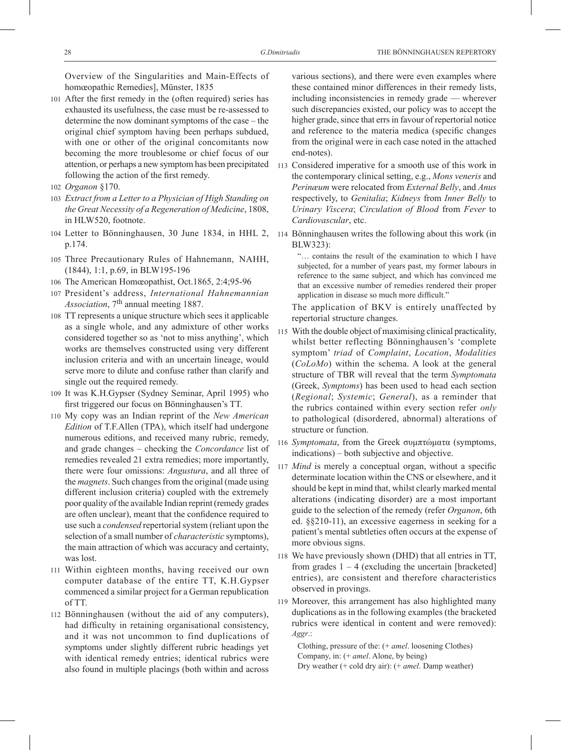Overview of the Singularities and Main-Effects of homœopathic Remedies], Münster, 1835

- 101 After the first remedy in the (often required) series has exhausted its usefulness, the case must be re-assessed to determine the now dominant symptoms of the case – the original chief symptom having been perhaps subdued, with one or other of the original concomitants now becoming the more troublesome or chief focus of our attention, or perhaps a new symptom has been precipitated following the action of the first remedy.
- 102 *Organon* §170.
- 103 *Extract from a Letter to a Physician of High Standing on the Great Necessity of a Regeneration of Medicine*, 1808, in HLW520, footnote.
- 104 Letter to Bönninghausen, 30 June 1834, in HHL 2, 114 Bönninghausen writes the following about this work (in p.174.
- 105 Three Precautionary Rules of Hahnemann, NAHH, (1844), 1:1, p.69, in BLW195-196
- 106 The American Homœopathist, Oct.1865, 2:4;95-96
- 107 President's address, *International Hahnemannian Association*, 7th annual meeting 1887.
- 108 TT represents a unique structure which sees it applicable as a single whole, and any admixture of other works considered together so as 'not to miss anything', which works are themselves constructed using very different inclusion criteria and with an uncertain lineage, would serve more to dilute and confuse rather than clarify and single out the required remedy.
- 109 It was K.H.Gypser (Sydney Seminar, April 1995) who first triggered our focus on Bönninghausen's TT.
- 110 My copy was an Indian reprint of the *New American Edition* of T.F.Allen (TPA), which itself had undergone numerous editions, and received many rubric, remedy, and grade changes – checking the *Concordance* list of remedies revealed 21 extra remedies; more importantly, there were four omissions: *Angustura*, and all three of the *magnets*. Such changes from the original (made using different inclusion criteria) coupled with the extremely poor quality of the available Indian reprint (remedy grades are often unclear), meant that the confidence required to use such a *condensed* repertorial system (reliant upon the selection of a small number of *characteristic* symptoms), the main attraction of which was accuracy and certainty, was lost.
- 111 Within eighteen months, having received our own computer database of the entire TT, K.H.Gypser commenced a similar project for a German republication of TT.
- 112 Bönninghausen (without the aid of any computers), had difficulty in retaining organisational consistency, and it was not uncommon to find duplications of symptoms under slightly different rubric headings yet with identical remedy entries; identical rubrics were also found in multiple placings (both within and across

various sections), and there were even examples where these contained minor differences in their remedy lists, including inconsistencies in remedy grade — wherever such discrepancies existed, our policy was to accept the higher grade, since that errs in favour of repertorial notice and reference to the materia medica (specific changes from the original were in each case noted in the attached end-notes).

- 113 Considered imperative for a smooth use of this work in the contemporary clinical setting, e.g., *Mons veneris* and *Perinæum* were relocated from *External Belly*, and *Anus* respectively, to *Genitalia*; *Kidneys* from *Inner Belly* to *Urinary Viscera*; *Circulation of Blood* from *Fever* to *Cardiovascular*, etc.
- BLW323):

"… contains the result of the examination to which I have subjected, for a number of years past, my former labours in reference to the same subject, and which has convinced me that an excessive number of remedies rendered their proper application in disease so much more difficult.'

The application of BKV is entirely unaffected by repertorial structure changes.

- 115 With the double object of maximising clinical practicality, whilst better reflecting Bönninghausen's 'complete symptom' *triad* of *Complaint*, *Location*, *Modalities*  (*CoLoMo*) within the schema. A look at the general structure of TBR will reveal that the term *Symptomata* (Greek, *Symptoms*) has been used to head each section (*Regional*; *Systemic*; *General*), as a reminder that the rubrics contained within every section refer *only* to pathological (disordered, abnormal) alterations of structure or function.
- 116 *Symptomata*, from the Greek συμπτώματα (symptoms, indications) – both subjective and objective.
- 117 *Mind* is merely a conceptual organ, without a specific determinate location within the CNS or elsewhere, and it should be kept in mind that, whilst clearly marked mental alterations (indicating disorder) are a most important guide to the selection of the remedy (refer *Organon*, 6th ed. §§210-11), an excessive eagerness in seeking for a patient's mental subtleties often occurs at the expense of more obvious signs.
- 118 We have previously shown (DHD) that all entries in TT, from grades  $1 - 4$  (excluding the uncertain [bracketed] entries), are consistent and therefore characteristics observed in provings.
- 119 Moreover, this arrangement has also highlighted many duplications as in the following examples (the bracketed rubrics were identical in content and were removed): *Aggr*.:

Clothing, pressure of the: (+ *amel*. loosening Clothes) Company, in: (+ *amel*. Alone, by being) Dry weather (+ cold dry air): (+ *amel*. Damp weather)